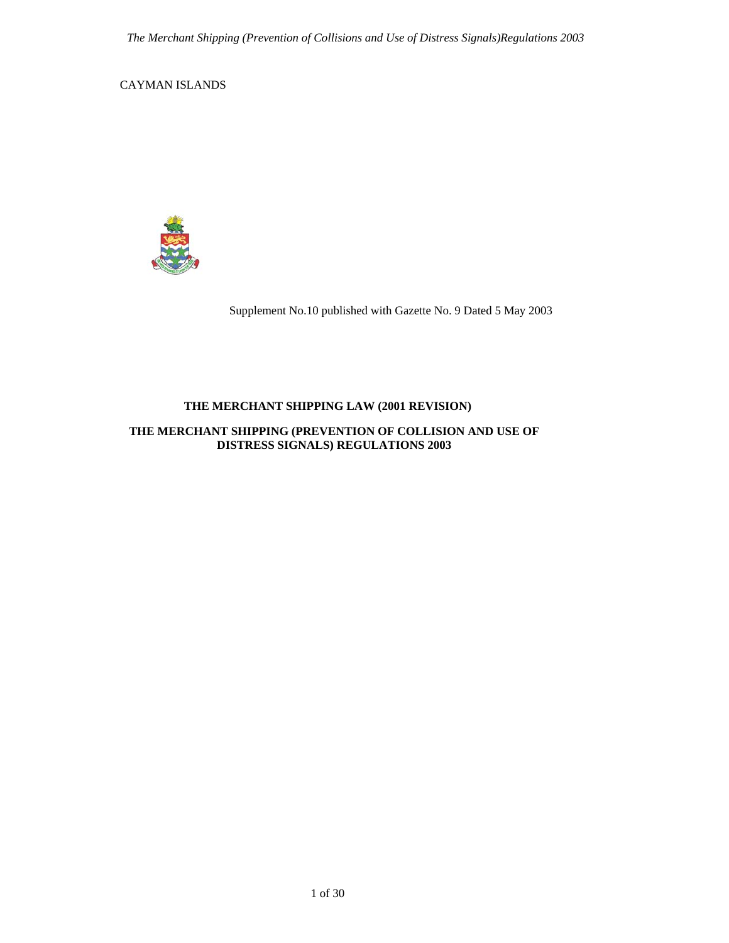CAYMAN ISLANDS



Supplement No.10 published with Gazette No. 9 Dated 5 May 2003

# **THE MERCHANT SHIPPING LAW (2001 REVISION)**

## **THE MERCHANT SHIPPING (PREVENTION OF COLLISION AND USE OF DISTRESS SIGNALS) REGULATIONS 2003**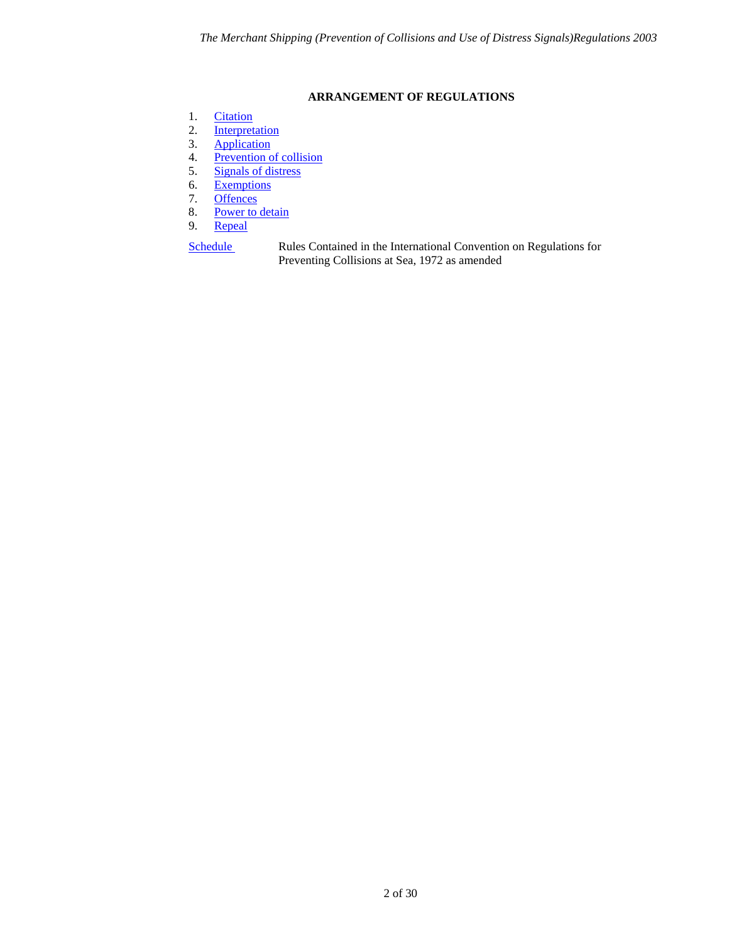# **ARRANGEMENT OF REGULATIONS**

- <span id="page-1-0"></span>1. [Citation](#page-2-0)
- 2. [Interpretation](#page-2-1)<br>3. Application
- 3. [Application](#page-3-0)<br>4. Prevention of
- 4. [Prevention of collision](#page-3-1)<br>5. Signals of distress
- 5. [Signals of distress](#page-3-2)<br>6. Exemptions
- **[Exemptions](#page-3-3)**
- 7. <u>[Offences](#page-3-4)</u><br>8. Power to
- [Power to detain](#page-3-5)
- 9. [Repeal](#page-3-6)

[Schedule](#page-4-0) Rules Contained in the International Convention on Regulations for Preventing Collisions at Sea, 1972 as amended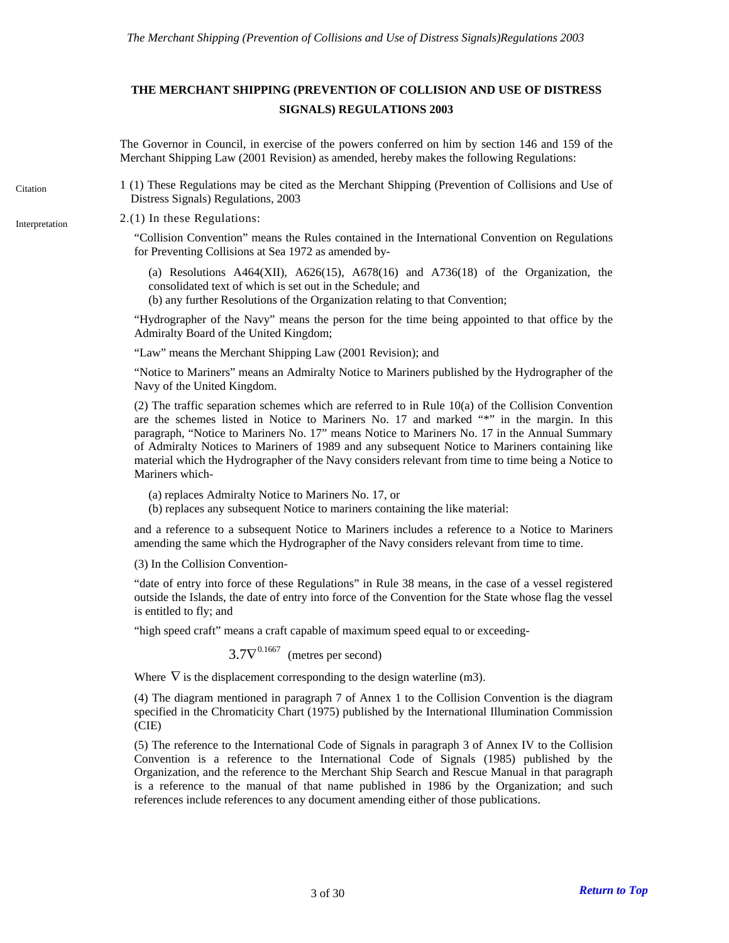# **THE MERCHANT SHIPPING (PREVENTION OF COLLISION AND USE OF DISTRESS SIGNALS) REGULATIONS 2003**

The Governor in Council, in exercise of the powers conferred on him by section 146 and 159 of the Merchant Shipping Law (2001 Revision) as amended, hereby makes the following Regulations:

### 1 (1) These Regulations may be cited as the Merchant Shipping (Prevention of Collisions and Use of Distress Signals) Regulations, 2003

# <span id="page-2-1"></span>Interpretation 2.(1) In these Regulations:

<span id="page-2-0"></span>**Citation** 

"Collision Convention" means the Rules contained in the International Convention on Regulations for Preventing Collisions at Sea 1972 as amended by-

(a) Resolutions A464(XII),  $A626(15)$ ,  $A678(16)$  and  $A736(18)$  of the Organization, the consolidated text of which is set out in the Schedule; and

(b) any further Resolutions of the Organization relating to that Convention;

"Hydrographer of the Navy" means the person for the time being appointed to that office by the Admiralty Board of the United Kingdom;

"Law" means the Merchant Shipping Law (2001 Revision); and

"Notice to Mariners" means an Admiralty Notice to Mariners published by the Hydrographer of the Navy of the United Kingdom.

(2) The traffic separation schemes which are referred to in Rule 10(a) of the Collision Convention are the schemes listed in Notice to Mariners No. 17 and marked "\*" in the margin. In this paragraph, "Notice to Mariners No. 17" means Notice to Mariners No. 17 in the Annual Summary of Admiralty Notices to Mariners of 1989 and any subsequent Notice to Mariners containing like material which the Hydrographer of the Navy considers relevant from time to time being a Notice to Mariners which-

(a) replaces Admiralty Notice to Mariners No. 17, or

(b) replaces any subsequent Notice to mariners containing the like material:

and a reference to a subsequent Notice to Mariners includes a reference to a Notice to Mariners amending the same which the Hydrographer of the Navy considers relevant from time to time.

(3) In the Collision Convention-

"date of entry into force of these Regulations" in Rule 38 means, in the case of a vessel registered outside the Islands, the date of entry into force of the Convention for the State whose flag the vessel is entitled to fly; and

"high speed craft" means a craft capable of maximum speed equal to or exceeding-

 $3.7\nabla^{0.1667}$  (metres per second)

Where  $\nabla$  is the displacement corresponding to the design waterline (m3).

(4) The diagram mentioned in paragraph 7 of Annex 1 to the Collision Convention is the diagram specified in the Chromaticity Chart (1975) published by the International Illumination Commission (CIE)

(5) The reference to the International Code of Signals in paragraph 3 of Annex IV to the Collision Convention is a reference to the International Code of Signals (1985) published by the Organization, and the reference to the Merchant Ship Search and Rescue Manual in that paragraph is a reference to the manual of that name published in 1986 by the Organization; and such references include references to any document amending either of those publications.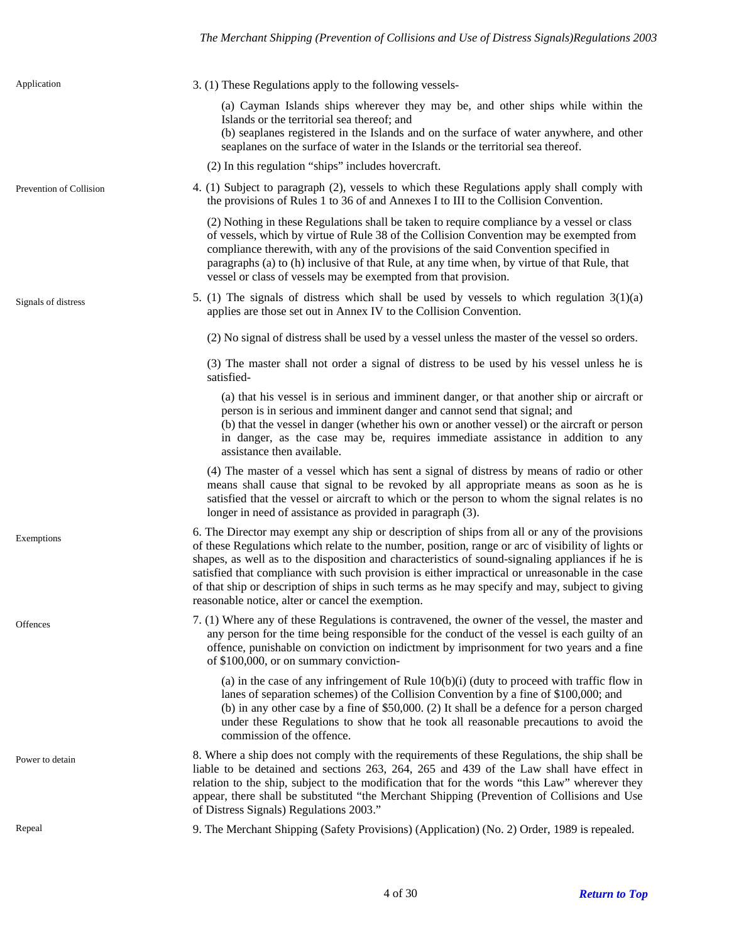<span id="page-3-6"></span><span id="page-3-5"></span><span id="page-3-4"></span><span id="page-3-3"></span><span id="page-3-2"></span><span id="page-3-1"></span><span id="page-3-0"></span>

| Application             | 3. (1) These Regulations apply to the following vessels-                                                                                                                                                                                                                                                                                                                                                                                                                                                                                                           |
|-------------------------|--------------------------------------------------------------------------------------------------------------------------------------------------------------------------------------------------------------------------------------------------------------------------------------------------------------------------------------------------------------------------------------------------------------------------------------------------------------------------------------------------------------------------------------------------------------------|
|                         | (a) Cayman Islands ships wherever they may be, and other ships while within the<br>Islands or the territorial sea thereof; and<br>(b) seaplanes registered in the Islands and on the surface of water anywhere, and other<br>seaplanes on the surface of water in the Islands or the territorial sea thereof.                                                                                                                                                                                                                                                      |
|                         | (2) In this regulation "ships" includes hovercraft.                                                                                                                                                                                                                                                                                                                                                                                                                                                                                                                |
| Prevention of Collision | 4. (1) Subject to paragraph (2), vessels to which these Regulations apply shall comply with<br>the provisions of Rules 1 to 36 of and Annexes I to III to the Collision Convention.                                                                                                                                                                                                                                                                                                                                                                                |
|                         | (2) Nothing in these Regulations shall be taken to require compliance by a vessel or class<br>of vessels, which by virtue of Rule 38 of the Collision Convention may be exempted from<br>compliance therewith, with any of the provisions of the said Convention specified in<br>paragraphs (a) to (h) inclusive of that Rule, at any time when, by virtue of that Rule, that<br>vessel or class of vessels may be exempted from that provision.                                                                                                                   |
| Signals of distress     | 5. (1) The signals of distress which shall be used by vessels to which regulation $3(1)(a)$<br>applies are those set out in Annex IV to the Collision Convention.                                                                                                                                                                                                                                                                                                                                                                                                  |
|                         | (2) No signal of distress shall be used by a vessel unless the master of the vessel so orders.                                                                                                                                                                                                                                                                                                                                                                                                                                                                     |
|                         | (3) The master shall not order a signal of distress to be used by his vessel unless he is<br>satisfied-                                                                                                                                                                                                                                                                                                                                                                                                                                                            |
|                         | (a) that his vessel is in serious and imminent danger, or that another ship or aircraft or<br>person is in serious and imminent danger and cannot send that signal; and<br>(b) that the vessel in danger (whether his own or another vessel) or the aircraft or person<br>in danger, as the case may be, requires immediate assistance in addition to any<br>assistance then available.                                                                                                                                                                            |
|                         | (4) The master of a vessel which has sent a signal of distress by means of radio or other<br>means shall cause that signal to be revoked by all appropriate means as soon as he is<br>satisfied that the vessel or aircraft to which or the person to whom the signal relates is no<br>longer in need of assistance as provided in paragraph (3).                                                                                                                                                                                                                  |
| Exemptions              | 6. The Director may exempt any ship or description of ships from all or any of the provisions<br>of these Regulations which relate to the number, position, range or arc of visibility of lights or<br>shapes, as well as to the disposition and characteristics of sound-signaling appliances if he is<br>satisfied that compliance with such provision is either impractical or unreasonable in the case<br>of that ship or description of ships in such terms as he may specify and may, subject to giving<br>reasonable notice, alter or cancel the exemption. |
| Offences                | 7. (1) Where any of these Regulations is contravened, the owner of the vessel, the master and<br>any person for the time being responsible for the conduct of the vessel is each guilty of an<br>offence, punishable on conviction on indictment by imprisonment for two years and a fine<br>of \$100,000, or on summary conviction-                                                                                                                                                                                                                               |
|                         | (a) in the case of any infringement of Rule $10(b)(i)$ (duty to proceed with traffic flow in<br>lanes of separation schemes) of the Collision Convention by a fine of \$100,000; and<br>(b) in any other case by a fine of $$50,000$ . (2) It shall be a defence for a person charged<br>under these Regulations to show that he took all reasonable precautions to avoid the<br>commission of the offence.                                                                                                                                                        |
| Power to detain         | 8. Where a ship does not comply with the requirements of these Regulations, the ship shall be<br>liable to be detained and sections 263, 264, 265 and 439 of the Law shall have effect in<br>relation to the ship, subject to the modification that for the words "this Law" wherever they<br>appear, there shall be substituted "the Merchant Shipping (Prevention of Collisions and Use<br>of Distress Signals) Regulations 2003."                                                                                                                               |
| Repeal                  | 9. The Merchant Shipping (Safety Provisions) (Application) (No. 2) Order, 1989 is repealed.                                                                                                                                                                                                                                                                                                                                                                                                                                                                        |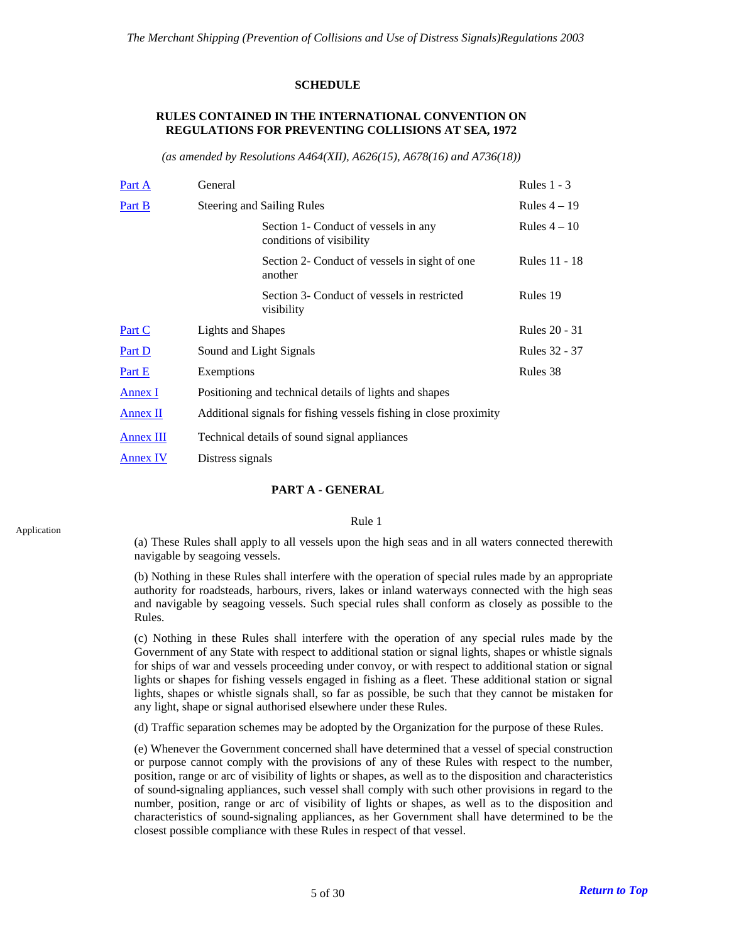### **SCHEDULE**

#### **RULES CONTAINED IN THE INTERNATIONAL CONVENTION ON REGULATIONS FOR PREVENTING COLLISIONS AT SEA, 1972**

*(as amended by Resolutions A464(XII), A626(15), A678(16) and A736(18))* 

<span id="page-4-0"></span>

| Part A          | General                                                           |                                                                  | Rules $1 - 3$ |
|-----------------|-------------------------------------------------------------------|------------------------------------------------------------------|---------------|
| Part B          |                                                                   | <b>Steering and Sailing Rules</b>                                |               |
|                 |                                                                   | Section 1- Conduct of vessels in any<br>conditions of visibility | Rules $4-10$  |
|                 |                                                                   | Section 2- Conduct of vessels in sight of one<br>another         | Rules 11 - 18 |
|                 |                                                                   | Section 3- Conduct of vessels in restricted<br>visibility        | Rules 19      |
| Part C          | Lights and Shapes                                                 |                                                                  | Rules 20 - 31 |
| Part D          | Sound and Light Signals                                           |                                                                  | Rules 32 - 37 |
| Part E          | Exemptions                                                        |                                                                  | Rules 38      |
| Annex I         | Positioning and technical details of lights and shapes            |                                                                  |               |
| Annex II        | Additional signals for fishing vessels fishing in close proximity |                                                                  |               |
| Annex III       | Technical details of sound signal appliances                      |                                                                  |               |
| <b>Annex IV</b> | Distress signals                                                  |                                                                  |               |

#### **PART A - GENERAL**

#### Rule 1

<span id="page-4-1"></span>(a) These Rules shall apply to all vessels upon the high seas and in all waters connected therewith navigable by seagoing vessels.

(b) Nothing in these Rules shall interfere with the operation of special rules made by an appropriate authority for roadsteads, harbours, rivers, lakes or inland waterways connected with the high seas and navigable by seagoing vessels. Such special rules shall conform as closely as possible to the Rules.

(c) Nothing in these Rules shall interfere with the operation of any special rules made by the Government of any State with respect to additional station or signal lights, shapes or whistle signals for ships of war and vessels proceeding under convoy, or with respect to additional station or signal lights or shapes for fishing vessels engaged in fishing as a fleet. These additional station or signal lights, shapes or whistle signals shall, so far as possible, be such that they cannot be mistaken for any light, shape or signal authorised elsewhere under these Rules.

(d) Traffic separation schemes may be adopted by the Organization for the purpose of these Rules.

(e) Whenever the Government concerned shall have determined that a vessel of special construction or purpose cannot comply with the provisions of any of these Rules with respect to the number, position, range or arc of visibility of lights or shapes, as well as to the disposition and characteristics of sound-signaling appliances, such vessel shall comply with such other provisions in regard to the number, position, range or arc of visibility of lights or shapes, as well as to the disposition and characteristics of sound-signaling appliances, as her Government shall have determined to be the closest possible compliance with these Rules in respect of that vessel.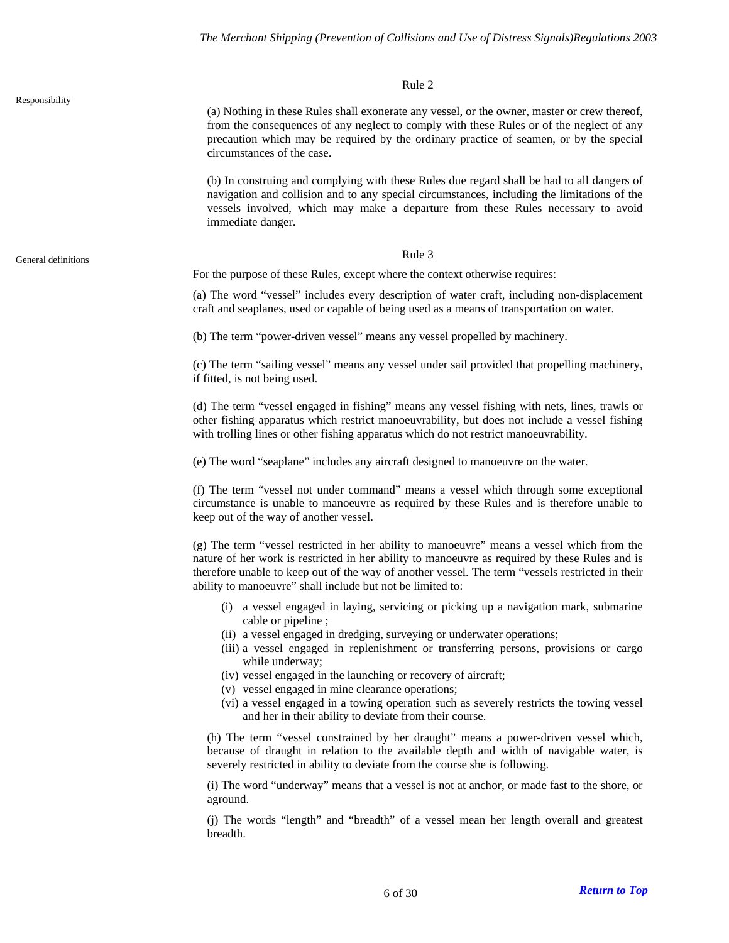#### Rule 2

(a) Nothing in these Rules shall exonerate any vessel, or the owner, master or crew thereof, from the consequences of any neglect to comply with these Rules or of the neglect of any precaution which may be required by the ordinary practice of seamen, or by the special circumstances of the case.

(b) In construing and complying with these Rules due regard shall be had to all dangers of navigation and collision and to any special circumstances, including the limitations of the vessels involved, which may make a departure from these Rules necessary to avoid immediate danger.

# General definitions **Rule 3**

For the purpose of these Rules, except where the context otherwise requires:

Responsibility

(a) The word "vessel" includes every description of water craft, including non-displacement craft and seaplanes, used or capable of being used as a means of transportation on water.

(b) The term "power-driven vessel" means any vessel propelled by machinery.

(c) The term "sailing vessel" means any vessel under sail provided that propelling machinery, if fitted, is not being used.

(d) The term "vessel engaged in fishing" means any vessel fishing with nets, lines, trawls or other fishing apparatus which restrict manoeuvrability, but does not include a vessel fishing with trolling lines or other fishing apparatus which do not restrict manoeuvrability.

(e) The word "seaplane" includes any aircraft designed to manoeuvre on the water.

(f) The term "vessel not under command" means a vessel which through some exceptional circumstance is unable to manoeuvre as required by these Rules and is therefore unable to keep out of the way of another vessel.

(g) The term "vessel restricted in her ability to manoeuvre" means a vessel which from the nature of her work is restricted in her ability to manoeuvre as required by these Rules and is therefore unable to keep out of the way of another vessel. The term "vessels restricted in their ability to manoeuvre" shall include but not be limited to:

- (i) a vessel engaged in laying, servicing or picking up a navigation mark, submarine cable or pipeline ;
- (ii) a vessel engaged in dredging, surveying or underwater operations;
- (iii) a vessel engaged in replenishment or transferring persons, provisions or cargo while underway;
- (iv) vessel engaged in the launching or recovery of aircraft;
- (v) vessel engaged in mine clearance operations;
- (vi) a vessel engaged in a towing operation such as severely restricts the towing vessel and her in their ability to deviate from their course.

(h) The term "vessel constrained by her draught" means a power-driven vessel which, because of draught in relation to the available depth and width of navigable water, is severely restricted in ability to deviate from the course she is following.

(i) The word "underway" means that a vessel is not at anchor, or made fast to the shore, or aground.

(j) The words "length" and "breadth" of a vessel mean her length overall and greatest breadth.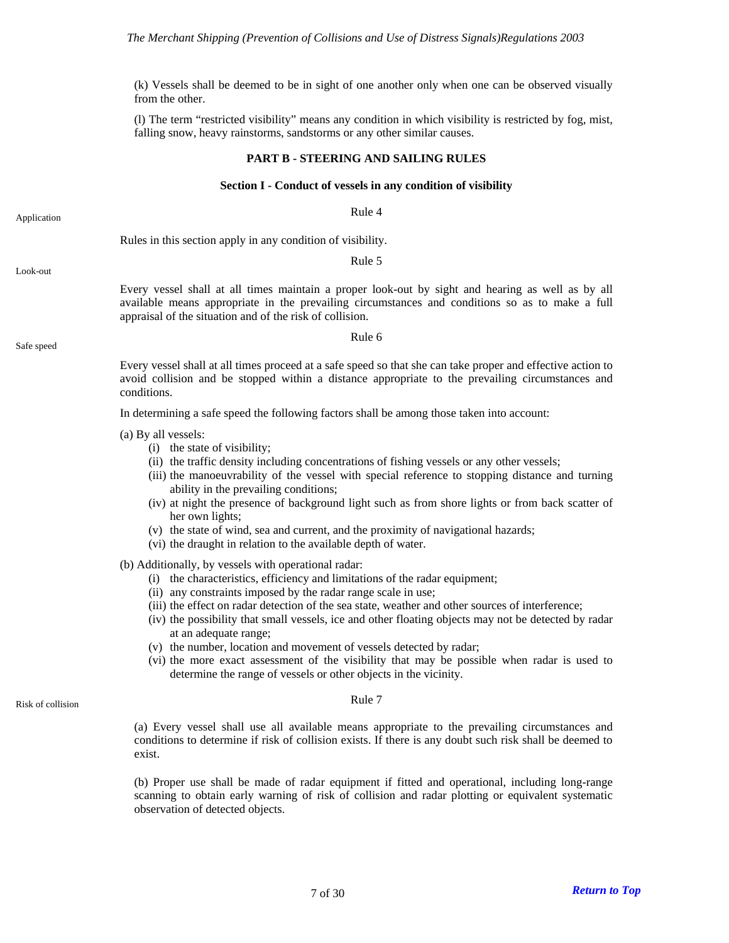(k) Vessels shall be deemed to be in sight of one another only when one can be observed visually from the other.

(l) The term "restricted visibility" means any condition in which visibility is restricted by fog, mist, falling snow, heavy rainstorms, sandstorms or any other similar causes.

### **PART B - STEERING AND SAILING RULES**

#### **Section I - Conduct of vessels in any condition of visibility**

# <span id="page-6-0"></span>Application **Rule 4** Rules in this section apply in any condition of visibility. Rule 5 Look-out Every vessel shall at all times maintain a proper look-out by sight and hearing as well as by all available means appropriate in the prevailing circumstances and conditions so as to make a full appraisal of the situation and of the risk of collision. Rule 6 Safe speed Every vessel shall at all times proceed at a safe speed so that she can take proper and effective action to avoid collision and be stopped within a distance appropriate to the prevailing circumstances and

conditions.

In determining a safe speed the following factors shall be among those taken into account:

- (a) By all vessels:
	- (i) the state of visibility;
	- (ii) the traffic density including concentrations of fishing vessels or any other vessels;
	- (iii) the manoeuvrability of the vessel with special reference to stopping distance and turning ability in the prevailing conditions;
	- (iv) at night the presence of background light such as from shore lights or from back scatter of her own lights;
	- (v) the state of wind, sea and current, and the proximity of navigational hazards;
	- (vi) the draught in relation to the available depth of water.

(b) Additionally, by vessels with operational radar:

- (i) the characteristics, efficiency and limitations of the radar equipment;
- (ii) any constraints imposed by the radar range scale in use;
- (iii) the effect on radar detection of the sea state, weather and other sources of interference;
- (iv) the possibility that small vessels, ice and other floating objects may not be detected by radar at an adequate range;
- (v) the number, location and movement of vessels detected by radar;
- (vi) the more exact assessment of the visibility that may be possible when radar is used to determine the range of vessels or other objects in the vicinity.

# Risk of collision Rule 7

(a) Every vessel shall use all available means appropriate to the prevailing circumstances and conditions to determine if risk of collision exists. If there is any doubt such risk shall be deemed to exist.

(b) Proper use shall be made of radar equipment if fitted and operational, including long-range scanning to obtain early warning of risk of collision and radar plotting or equivalent systematic observation of detected objects.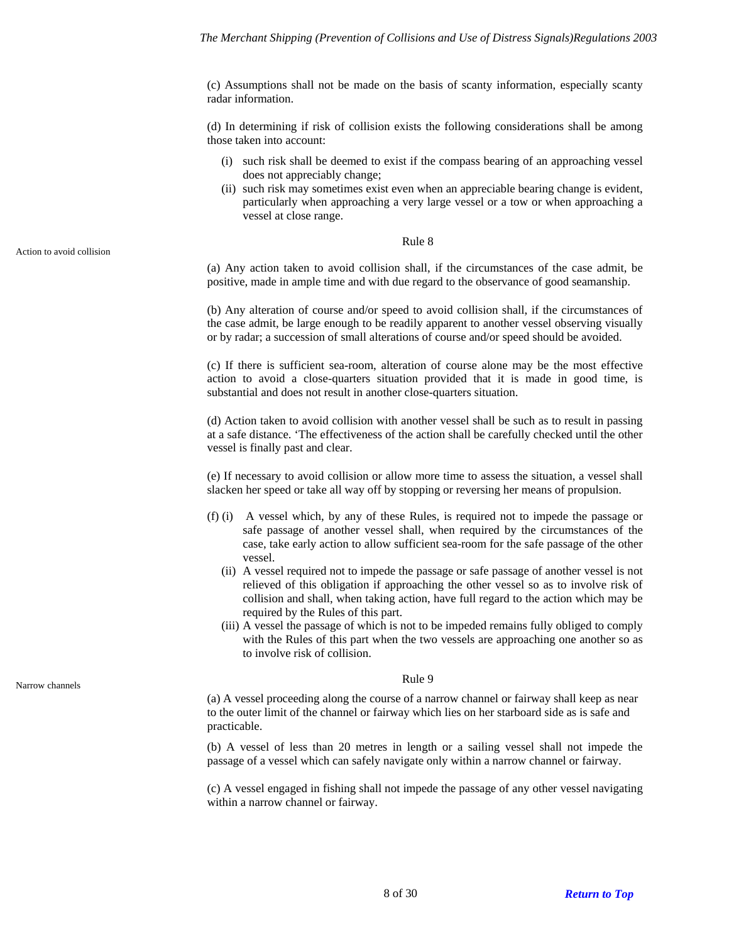(c) Assumptions shall not be made on the basis of scanty information, especially scanty radar information.

(d) In determining if risk of collision exists the following considerations shall be among those taken into account:

- (i) such risk shall be deemed to exist if the compass bearing of an approaching vessel does not appreciably change;
- (ii) such risk may sometimes exist even when an appreciable bearing change is evident, particularly when approaching a very large vessel or a tow or when approaching a vessel at close range.

#### Rule 8

(a) Any action taken to avoid collision shall, if the circumstances of the case admit, be positive, made in ample time and with due regard to the observance of good seamanship.

(b) Any alteration of course and/or speed to avoid collision shall, if the circumstances of the case admit, be large enough to be readily apparent to another vessel observing visually or by radar; a succession of small alterations of course and/or speed should be avoided.

(c) If there is sufficient sea-room, alteration of course alone may be the most effective action to avoid a close-quarters situation provided that it is made in good time, is substantial and does not result in another close-quarters situation.

(d) Action taken to avoid collision with another vessel shall be such as to result in passing at a safe distance. 'The effectiveness of the action shall be carefully checked until the other vessel is finally past and clear.

(e) If necessary to avoid collision or allow more time to assess the situation, a vessel shall slacken her speed or take all way off by stopping or reversing her means of propulsion.

- (f) (i) A vessel which, by any of these Rules, is required not to impede the passage or safe passage of another vessel shall, when required by the circumstances of the case, take early action to allow sufficient sea-room for the safe passage of the other vessel.
	- (ii) A vessel required not to impede the passage or safe passage of another vessel is not relieved of this obligation if approaching the other vessel so as to involve risk of collision and shall, when taking action, have full regard to the action which may be required by the Rules of this part.
	- (iii) A vessel the passage of which is not to be impeded remains fully obliged to comply with the Rules of this part when the two vessels are approaching one another so as to involve risk of collision.

(a) A vessel proceeding along the course of a narrow channel or fairway shall keep as near to the outer limit of the channel or fairway which lies on her starboard side as is safe and practicable.

(b) A vessel of less than 20 metres in length or a sailing vessel shall not impede the passage of a vessel which can safely navigate only within a narrow channel or fairway.

(c) A vessel engaged in fishing shall not impede the passage of any other vessel navigating within a narrow channel or fairway.

Action to avoid collision

Narrow channels **Rule 9**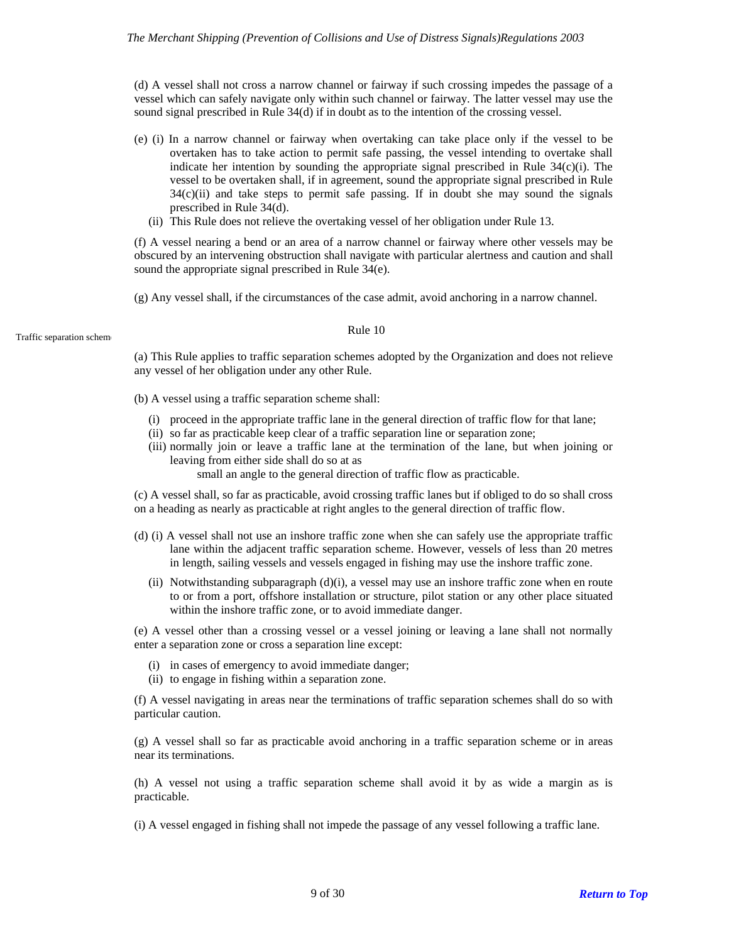(d) A vessel shall not cross a narrow channel or fairway if such crossing impedes the passage of a vessel which can safely navigate only within such channel or fairway. The latter vessel may use the sound signal prescribed in Rule 34(d) if in doubt as to the intention of the crossing vessel.

- (e) (i) In a narrow channel or fairway when overtaking can take place only if the vessel to be overtaken has to take action to permit safe passing, the vessel intending to overtake shall indicate her intention by sounding the appropriate signal prescribed in Rule  $34(c)(i)$ . The vessel to be overtaken shall, if in agreement, sound the appropriate signal prescribed in Rule  $34(c)(ii)$  and take steps to permit safe passing. If in doubt she may sound the signals prescribed in Rule 34(d).
	- (ii) This Rule does not relieve the overtaking vessel of her obligation under Rule 13.

(f) A vessel nearing a bend or an area of a narrow channel or fairway where other vessels may be obscured by an intervening obstruction shall navigate with particular alertness and caution and shall sound the appropriate signal prescribed in Rule 34(e).

(g) Any vessel shall, if the circumstances of the case admit, avoid anchoring in a narrow channel.

# Rule 10 Traffic separation scheme

(a) This Rule applies to traffic separation schemes adopted by the Organization and does not relieve any vessel of her obligation under any other Rule.

- (b) A vessel using a traffic separation scheme shall:
	- (i) proceed in the appropriate traffic lane in the general direction of traffic flow for that lane;
	- (ii) so far as practicable keep clear of a traffic separation line or separation zone;
	- (iii) normally join or leave a traffic lane at the termination of the lane, but when joining or leaving from either side shall do so at as
		- small an angle to the general direction of traffic flow as practicable.

(c) A vessel shall, so far as practicable, avoid crossing traffic lanes but if obliged to do so shall cross on a heading as nearly as practicable at right angles to the general direction of traffic flow.

- (d) (i) A vessel shall not use an inshore traffic zone when she can safely use the appropriate traffic lane within the adjacent traffic separation scheme. However, vessels of less than 20 metres in length, sailing vessels and vessels engaged in fishing may use the inshore traffic zone.
	- (ii) Notwithstanding subparagraph (d)(i), a vessel may use an inshore traffic zone when en route to or from a port, offshore installation or structure, pilot station or any other place situated within the inshore traffic zone, or to avoid immediate danger.

(e) A vessel other than a crossing vessel or a vessel joining or leaving a lane shall not normally enter a separation zone or cross a separation line except:

- (i) in cases of emergency to avoid immediate danger;
- (ii) to engage in fishing within a separation zone.

(f) A vessel navigating in areas near the terminations of traffic separation schemes shall do so with particular caution.

(g) A vessel shall so far as practicable avoid anchoring in a traffic separation scheme or in areas near its terminations.

(h) A vessel not using a traffic separation scheme shall avoid it by as wide a margin as is practicable.

(i) A vessel engaged in fishing shall not impede the passage of any vessel following a traffic lane.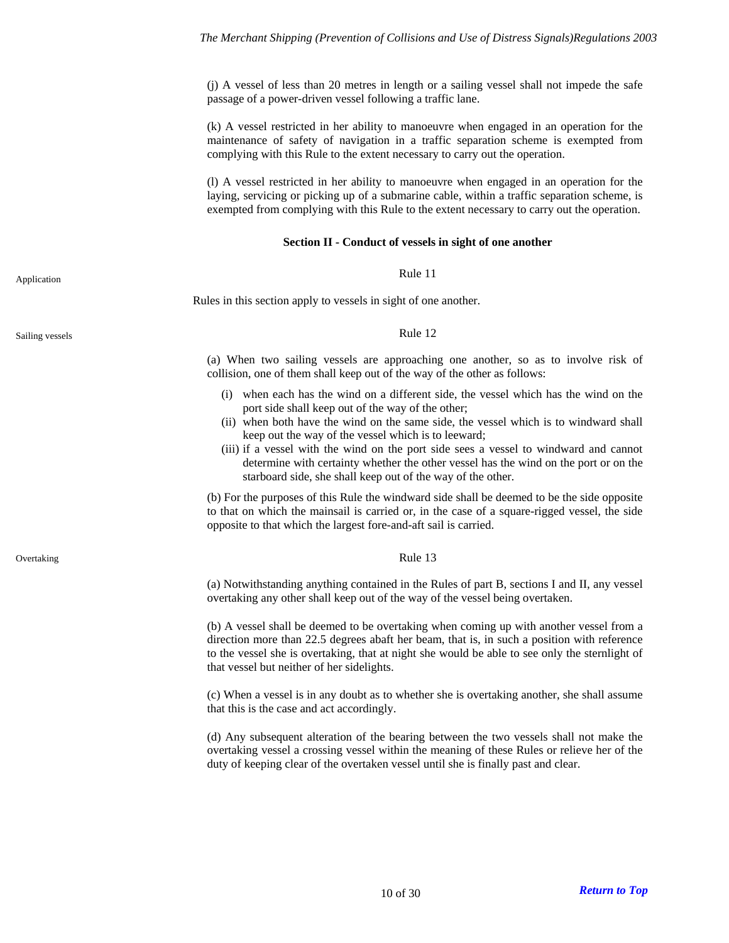(j) A vessel of less than 20 metres in length or a sailing vessel shall not impede the safe passage of a power-driven vessel following a traffic lane.

(k) A vessel restricted in her ability to manoeuvre when engaged in an operation for the maintenance of safety of navigation in a traffic separation scheme is exempted from complying with this Rule to the extent necessary to carry out the operation.

(l) A vessel restricted in her ability to manoeuvre when engaged in an operation for the laying, servicing or picking up of a submarine cable, within a traffic separation scheme, is exempted from complying with this Rule to the extent necessary to carry out the operation.

#### **Section II - Conduct of vessels in sight of one another**

# Application Rule 11

Rules in this section apply to vessels in sight of one another.

(a) When two sailing vessels are approaching one another, so as to involve risk of collision, one of them shall keep out of the way of the other as follows:

- (i) when each has the wind on a different side, the vessel which has the wind on the port side shall keep out of the way of the other;
- (ii) when both have the wind on the same side, the vessel which is to windward shall keep out the way of the vessel which is to leeward;
- (iii) if a vessel with the wind on the port side sees a vessel to windward and cannot determine with certainty whether the other vessel has the wind on the port or on the starboard side, she shall keep out of the way of the other.

(b) For the purposes of this Rule the windward side shall be deemed to be the side opposite to that on which the mainsail is carried or, in the case of a square-rigged vessel, the side opposite to that which the largest fore-and-aft sail is carried.

#### Overtaking **Rule 13**

(a) Notwithstanding anything contained in the Rules of part B, sections I and II, any vessel overtaking any other shall keep out of the way of the vessel being overtaken.

(b) A vessel shall be deemed to be overtaking when coming up with another vessel from a direction more than 22.5 degrees abaft her beam, that is, in such a position with reference to the vessel she is overtaking, that at night she would be able to see only the sternlight of that vessel but neither of her sidelights.

(c) When a vessel is in any doubt as to whether she is overtaking another, she shall assume that this is the case and act accordingly.

(d) Any subsequent alteration of the bearing between the two vessels shall not make the overtaking vessel a crossing vessel within the meaning of these Rules or relieve her of the duty of keeping clear of the overtaken vessel until she is finally past and clear.

Sailing vessels Rule 12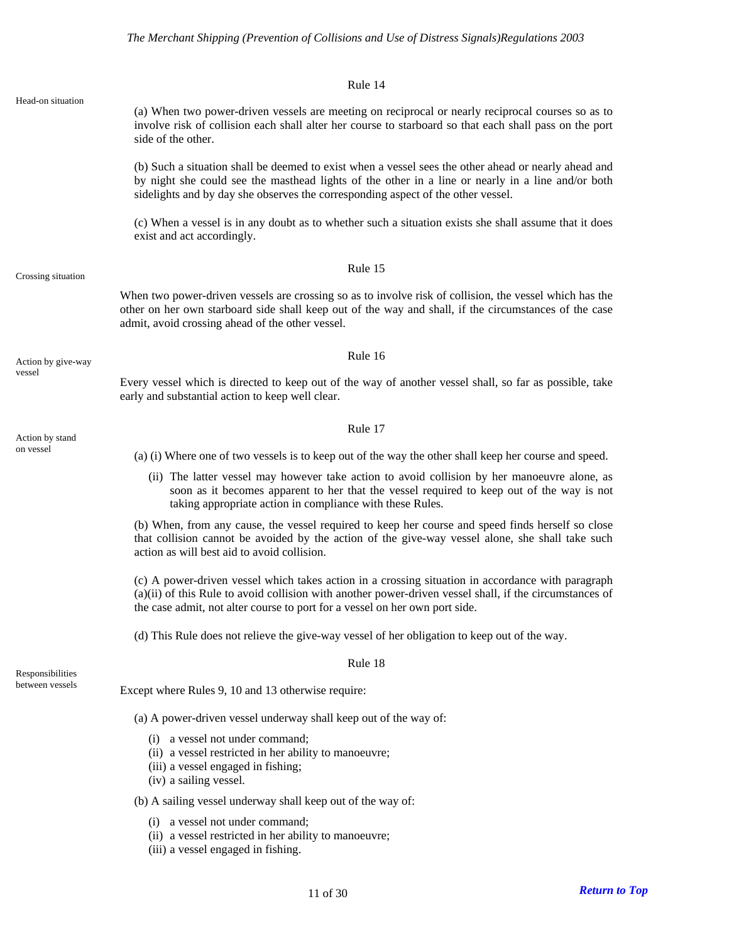|                                     | Rule 14                                                                                                                                                                                                                                                                                       |  |  |  |  |
|-------------------------------------|-----------------------------------------------------------------------------------------------------------------------------------------------------------------------------------------------------------------------------------------------------------------------------------------------|--|--|--|--|
| Head-on situation                   | (a) When two power-driven vessels are meeting on reciprocal or nearly reciprocal courses so as to<br>involve risk of collision each shall alter her course to starboard so that each shall pass on the port<br>side of the other.                                                             |  |  |  |  |
|                                     | (b) Such a situation shall be deemed to exist when a vessel sees the other ahead or nearly ahead and<br>by night she could see the masthead lights of the other in a line or nearly in a line and/or both<br>sidelights and by day she observes the corresponding aspect of the other vessel. |  |  |  |  |
|                                     | (c) When a vessel is in any doubt as to whether such a situation exists she shall assume that it does<br>exist and act accordingly.                                                                                                                                                           |  |  |  |  |
| Crossing situation                  | Rule 15                                                                                                                                                                                                                                                                                       |  |  |  |  |
|                                     | When two power-driven vessels are crossing so as to involve risk of collision, the vessel which has the<br>other on her own starboard side shall keep out of the way and shall, if the circumstances of the case<br>admit, avoid crossing ahead of the other vessel.                          |  |  |  |  |
| Action by give-way                  | Rule 16                                                                                                                                                                                                                                                                                       |  |  |  |  |
| vessel                              | Every vessel which is directed to keep out of the way of another vessel shall, so far as possible, take<br>early and substantial action to keep well clear.                                                                                                                                   |  |  |  |  |
|                                     | Rule 17                                                                                                                                                                                                                                                                                       |  |  |  |  |
| Action by stand<br>on vessel        | (a) (i) Where one of two vessels is to keep out of the way the other shall keep her course and speed.                                                                                                                                                                                         |  |  |  |  |
|                                     | (ii) The latter vessel may however take action to avoid collision by her manoeuvre alone, as<br>soon as it becomes apparent to her that the vessel required to keep out of the way is not<br>taking appropriate action in compliance with these Rules.                                        |  |  |  |  |
|                                     | (b) When, from any cause, the vessel required to keep her course and speed finds herself so close<br>that collision cannot be avoided by the action of the give-way vessel alone, she shall take such<br>action as will best aid to avoid collision.                                          |  |  |  |  |
|                                     | (c) A power-driven vessel which takes action in a crossing situation in accordance with paragraph<br>(a)(ii) of this Rule to avoid collision with another power-driven vessel shall, if the circumstances of<br>the case admit, not alter course to port for a vessel on her own port side.   |  |  |  |  |
|                                     | (d) This Rule does not relieve the give-way vessel of her obligation to keep out of the way.                                                                                                                                                                                                  |  |  |  |  |
| Responsibilities<br>between vessels | Rule 18                                                                                                                                                                                                                                                                                       |  |  |  |  |
|                                     | Except where Rules 9, 10 and 13 otherwise require:                                                                                                                                                                                                                                            |  |  |  |  |
|                                     | (a) A power-driven vessel underway shall keep out of the way of:                                                                                                                                                                                                                              |  |  |  |  |
|                                     | (i) a vessel not under command;<br>(ii) a vessel restricted in her ability to manoeuvre;<br>(iii) a vessel engaged in fishing;<br>(iv) a sailing vessel.                                                                                                                                      |  |  |  |  |
|                                     | (b) A sailing vessel underway shall keep out of the way of:                                                                                                                                                                                                                                   |  |  |  |  |
|                                     | (i) a vessel not under command;<br>(ii) a vessel restricted in her ability to manoeuvre;<br>(iii) a vessel engaged in fishing.                                                                                                                                                                |  |  |  |  |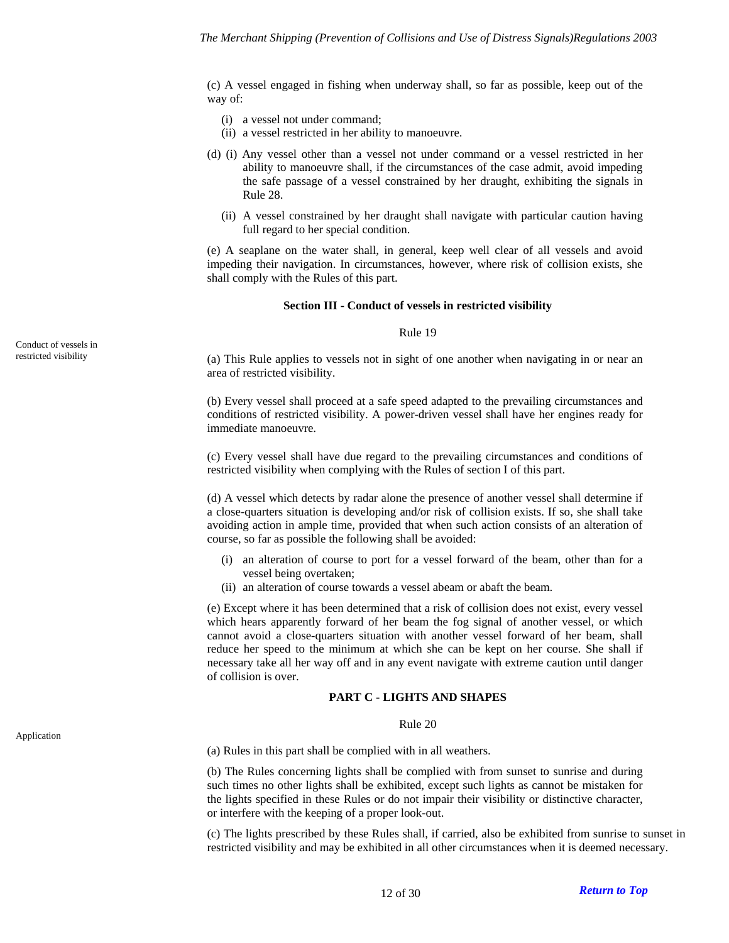(c) A vessel engaged in fishing when underway shall, so far as possible, keep out of the way of:

- (i) a vessel not under command;
- (ii) a vessel restricted in her ability to manoeuvre.
- (d) (i) Any vessel other than a vessel not under command or a vessel restricted in her ability to manoeuvre shall, if the circumstances of the case admit, avoid impeding the safe passage of a vessel constrained by her draught, exhibiting the signals in Rule 28.
	- (ii) A vessel constrained by her draught shall navigate with particular caution having full regard to her special condition.

(e) A seaplane on the water shall, in general, keep well clear of all vessels and avoid impeding their navigation. In circumstances, however, where risk of collision exists, she shall comply with the Rules of this part.

#### **Section III - Conduct of vessels in restricted visibility**

#### Rule 19

restricted visibility (a) This Rule applies to vessels not in sight of one another when navigating in or near an area of restricted visibility.

> (b) Every vessel shall proceed at a safe speed adapted to the prevailing circumstances and conditions of restricted visibility. A power-driven vessel shall have her engines ready for immediate manoeuvre.

> (c) Every vessel shall have due regard to the prevailing circumstances and conditions of restricted visibility when complying with the Rules of section I of this part.

> (d) A vessel which detects by radar alone the presence of another vessel shall determine if a close-quarters situation is developing and/or risk of collision exists. If so, she shall take avoiding action in ample time, provided that when such action consists of an alteration of course, so far as possible the following shall be avoided:

- (i) an alteration of course to port for a vessel forward of the beam, other than for a vessel being overtaken;
- (ii) an alteration of course towards a vessel abeam or abaft the beam.

(e) Except where it has been determined that a risk of collision does not exist, every vessel which hears apparently forward of her beam the fog signal of another vessel, or which cannot avoid a close-quarters situation with another vessel forward of her beam, shall reduce her speed to the minimum at which she can be kept on her course. She shall if necessary take all her way off and in any event navigate with extreme caution until danger of collision is over.

#### **PART C - LIGHTS AND SHAPES**

#### Rule 20

(a) Rules in this part shall be complied with in all weathers.

(b) The Rules concerning lights shall be complied with from sunset to sunrise and during such times no other lights shall be exhibited, except such lights as cannot be mistaken for the lights specified in these Rules or do not impair their visibility or distinctive character, or interfere with the keeping of a proper look-out.

(c) The lights prescribed by these Rules shall, if carried, also be exhibited from sunrise to sunset in restricted visibility and may be exhibited in all other circumstances when it is deemed necessary.

Conduct of vessels in

<span id="page-11-0"></span>Application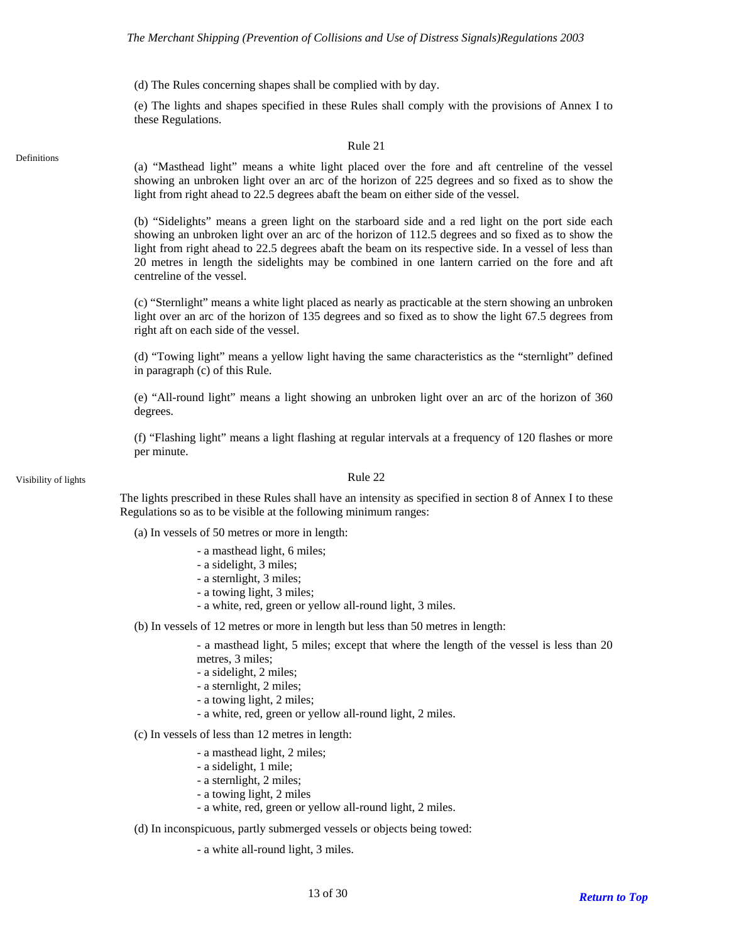(d) The Rules concerning shapes shall be complied with by day.

(e) The lights and shapes specified in these Rules shall comply with the provisions of Annex I to these Regulations.

Rule 21

(a) "Masthead light" means a white light placed over the fore and aft centreline of the vessel showing an unbroken light over an arc of the horizon of 225 degrees and so fixed as to show the light from right ahead to 22.5 degrees abaft the beam on either side of the vessel.

(b) "Sidelights" means a green light on the starboard side and a red light on the port side each showing an unbroken light over an arc of the horizon of 112.5 degrees and so fixed as to show the light from right ahead to 22.5 degrees abaft the beam on its respective side. In a vessel of less than 20 metres in length the sidelights may be combined in one lantern carried on the fore and aft centreline of the vessel.

(c) "Sternlight" means a white light placed as nearly as practicable at the stern showing an unbroken light over an arc of the horizon of 135 degrees and so fixed as to show the light 67.5 degrees from right aft on each side of the vessel.

(d) "Towing light" means a yellow light having the same characteristics as the "sternlight" defined in paragraph (c) of this Rule.

(e) "All-round light" means a light showing an unbroken light over an arc of the horizon of 360 degrees.

(f) "Flashing light" means a light flashing at regular intervals at a frequency of 120 flashes or more per minute.

Visibility of lights Rule 22

The lights prescribed in these Rules shall have an intensity as specified in section 8 of Annex I to these Regulations so as to be visible at the following minimum ranges:

(a) In vessels of 50 metres or more in length:

- a masthead light, 6 miles;
- a sidelight, 3 miles;
- a sternlight, 3 miles;
- a towing light, 3 miles;
- a white, red, green or yellow all-round light, 3 miles.

(b) In vessels of 12 metres or more in length but less than 50 metres in length:

- a masthead light, 5 miles; except that where the length of the vessel is less than 20 metres, 3 miles;

- a sidelight, 2 miles;
- a sternlight, 2 miles;
- a towing light, 2 miles;
- a white, red, green or yellow all-round light, 2 miles.

(c) In vessels of less than 12 metres in length:

- a masthead light, 2 miles;
- a sidelight, 1 mile;
- a sternlight, 2 miles;
- a towing light, 2 miles
- a white, red, green or yellow all-round light, 2 miles.
- (d) In inconspicuous, partly submerged vessels or objects being towed:
	- a white all-round light, 3 miles.

Definitions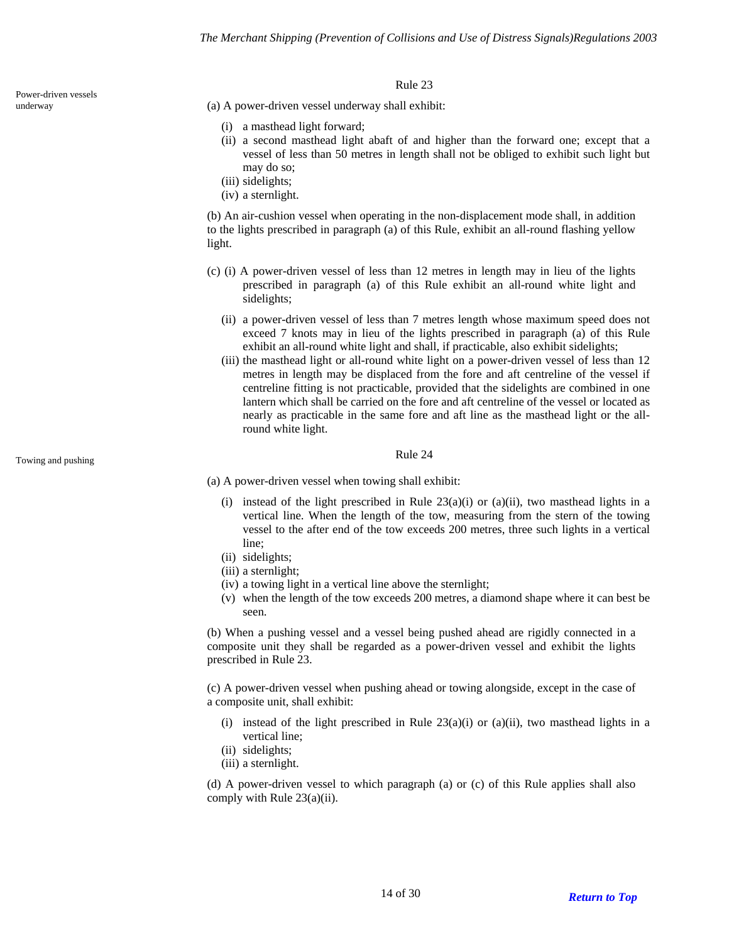Power-driven vessels

#### Rule 23

underway (a) A power-driven vessel underway shall exhibit:

- (i) a masthead light forward;
- (ii) a second masthead light abaft of and higher than the forward one; except that a vessel of less than 50 metres in length shall not be obliged to exhibit such light but may do so;
- (iii) sidelights;
- (iv) a sternlight.

(b) An air-cushion vessel when operating in the non-displacement mode shall, in addition to the lights prescribed in paragraph (a) of this Rule, exhibit an all-round flashing yellow light.

- (c) (i) A power-driven vessel of less than 12 metres in length may in lieu of the lights prescribed in paragraph (a) of this Rule exhibit an all-round white light and sidelights;
	- (ii) a power-driven vessel of less than 7 metres length whose maximum speed does not exceed 7 knots may in lieu of the lights prescribed in paragraph (a) of this Rule exhibit an all-round white light and shall, if practicable, also exhibit sidelights;
	- (iii) the masthead light or all-round white light on a power-driven vessel of less than 12 metres in length may be displaced from the fore and aft centreline of the vessel if centreline fitting is not practicable, provided that the sidelights are combined in one lantern which shall be carried on the fore and aft centreline of the vessel or located as nearly as practicable in the same fore and aft line as the masthead light or the allround white light.

# Towing and pushing Towing and pushing Towing and pushing Towing and pushing Towing and pushing Towing and  $\mathbb{R}$

(a) A power-driven vessel when towing shall exhibit:

- (i) instead of the light prescribed in Rule  $23(a)(i)$  or  $(a)(ii)$ , two masthead lights in a vertical line. When the length of the tow, measuring from the stern of the towing vessel to the after end of the tow exceeds 200 metres, three such lights in a vertical line;
- (ii) sidelights;
- (iii) a sternlight;
- (iv) a towing light in a vertical line above the sternlight;
- (v) when the length of the tow exceeds 200 metres, a diamond shape where it can best be seen.

(b) When a pushing vessel and a vessel being pushed ahead are rigidly connected in a composite unit they shall be regarded as a power-driven vessel and exhibit the lights prescribed in Rule 23.

(c) A power-driven vessel when pushing ahead or towing alongside, except in the case of a composite unit, shall exhibit:

- (i) instead of the light prescribed in Rule  $23(a)(i)$  or  $(a)(ii)$ , two masthead lights in a vertical line;
- (ii) sidelights;
- (iii) a sternlight.

(d) A power-driven vessel to which paragraph (a) or (c) of this Rule applies shall also comply with Rule 23(a)(ii).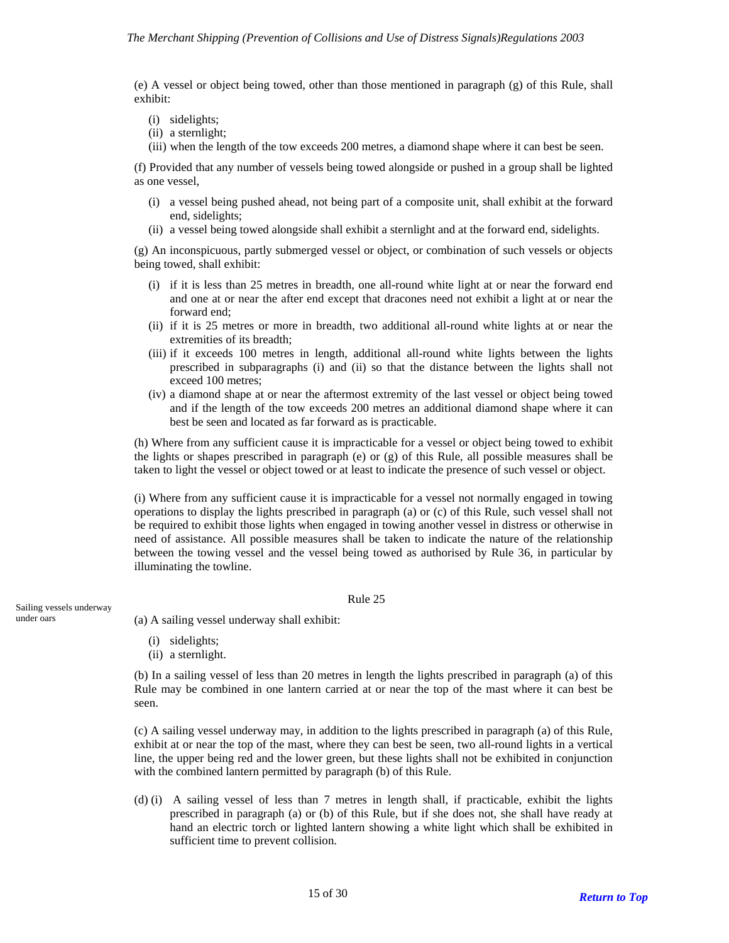(e) A vessel or object being towed, other than those mentioned in paragraph (g) of this Rule, shall exhibit:

- (i) sidelights;
- (ii) a sternlight;
- (iii) when the length of the tow exceeds 200 metres, a diamond shape where it can best be seen.

(f) Provided that any number of vessels being towed alongside or pushed in a group shall be lighted as one vessel,

- (i) a vessel being pushed ahead, not being part of a composite unit, shall exhibit at the forward end, sidelights;
- (ii) a vessel being towed alongside shall exhibit a sternlight and at the forward end, sidelights.

(g) An inconspicuous, partly submerged vessel or object, or combination of such vessels or objects being towed, shall exhibit:

- (i) if it is less than 25 metres in breadth, one all-round white light at or near the forward end and one at or near the after end except that dracones need not exhibit a light at or near the forward end;
- (ii) if it is 25 metres or more in breadth, two additional all-round white lights at or near the extremities of its breadth;
- (iii) if it exceeds 100 metres in length, additional all-round white lights between the lights prescribed in subparagraphs (i) and (ii) so that the distance between the lights shall not exceed 100 metres;
- (iv) a diamond shape at or near the aftermost extremity of the last vessel or object being towed and if the length of the tow exceeds 200 metres an additional diamond shape where it can best be seen and located as far forward as is practicable.

(h) Where from any sufficient cause it is impracticable for a vessel or object being towed to exhibit the lights or shapes prescribed in paragraph (e) or (g) of this Rule, all possible measures shall be taken to light the vessel or object towed or at least to indicate the presence of such vessel or object.

(i) Where from any sufficient cause it is impracticable for a vessel not normally engaged in towing operations to display the lights prescribed in paragraph (a) or (c) of this Rule, such vessel shall not be required to exhibit those lights when engaged in towing another vessel in distress or otherwise in need of assistance. All possible measures shall be taken to indicate the nature of the relationship between the towing vessel and the vessel being towed as authorised by Rule 36, in particular by illuminating the towline.

Rule 25

Sailing vessels underway

under oars (a) A sailing vessel underway shall exhibit:

- (i) sidelights;
- (ii) a sternlight.

(b) In a sailing vessel of less than 20 metres in length the lights prescribed in paragraph (a) of this Rule may be combined in one lantern carried at or near the top of the mast where it can best be seen.

(c) A sailing vessel underway may, in addition to the lights prescribed in paragraph (a) of this Rule, exhibit at or near the top of the mast, where they can best be seen, two all-round lights in a vertical line, the upper being red and the lower green, but these lights shall not be exhibited in conjunction with the combined lantern permitted by paragraph (b) of this Rule.

(d) (i) A sailing vessel of less than 7 metres in length shall, if practicable, exhibit the lights prescribed in paragraph (a) or (b) of this Rule, but if she does not, she shall have ready at hand an electric torch or lighted lantern showing a white light which shall be exhibited in sufficient time to prevent collision.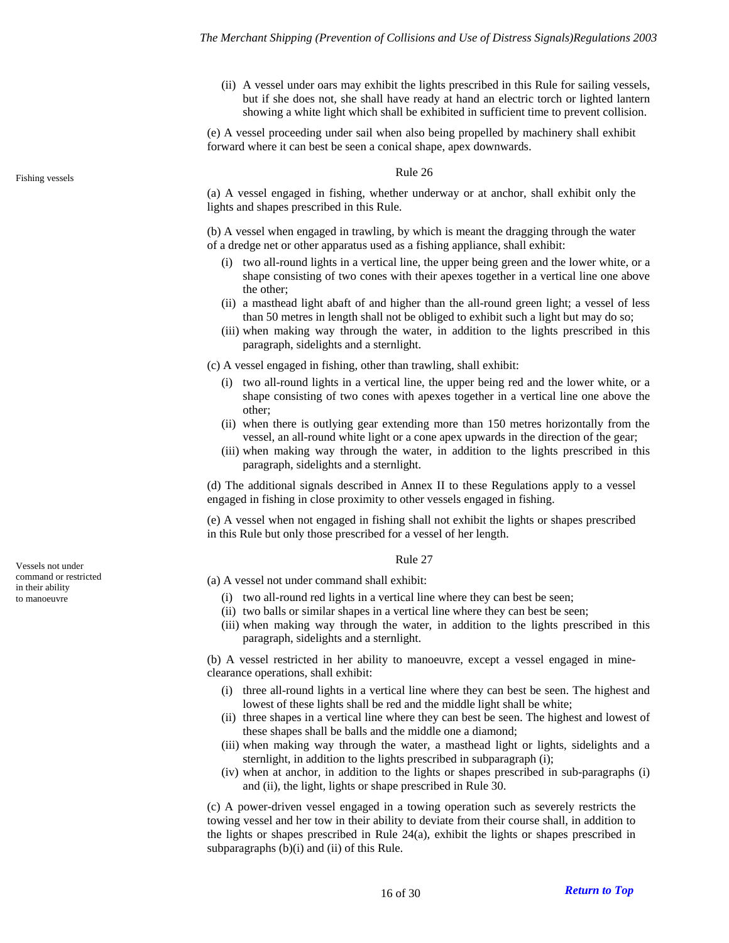(ii) A vessel under oars may exhibit the lights prescribed in this Rule for sailing vessels, but if she does not, she shall have ready at hand an electric torch or lighted lantern showing a white light which shall be exhibited in sufficient time to prevent collision.

(e) A vessel proceeding under sail when also being propelled by machinery shall exhibit forward where it can best be seen a conical shape, apex downwards.

# Fishing vessels Rule 26

(a) A vessel engaged in fishing, whether underway or at anchor, shall exhibit only the lights and shapes prescribed in this Rule.

(b) A vessel when engaged in trawling, by which is meant the dragging through the water of a dredge net or other apparatus used as a fishing appliance, shall exhibit:

- (i) two all-round lights in a vertical line, the upper being green and the lower white, or a shape consisting of two cones with their apexes together in a vertical line one above the other;
- (ii) a masthead light abaft of and higher than the all-round green light; a vessel of less than 50 metres in length shall not be obliged to exhibit such a light but may do so;
- (iii) when making way through the water, in addition to the lights prescribed in this paragraph, sidelights and a sternlight.

(c) A vessel engaged in fishing, other than trawling, shall exhibit:

- (i) two all-round lights in a vertical line, the upper being red and the lower white, or a shape consisting of two cones with apexes together in a vertical line one above the other;
- (ii) when there is outlying gear extending more than 150 metres horizontally from the vessel, an all-round white light or a cone apex upwards in the direction of the gear;
- (iii) when making way through the water, in addition to the lights prescribed in this paragraph, sidelights and a sternlight.

(d) The additional signals described in Annex II to these Regulations apply to a vessel engaged in fishing in close proximity to other vessels engaged in fishing.

(e) A vessel when not engaged in fishing shall not exhibit the lights or shapes prescribed in this Rule but only those prescribed for a vessel of her length.

(a) A vessel not under command shall exhibit:

- (i) two all-round red lights in a vertical line where they can best be seen;
- (ii) two balls or similar shapes in a vertical line where they can best be seen;
- (iii) when making way through the water, in addition to the lights prescribed in this paragraph, sidelights and a sternlight.

(b) A vessel restricted in her ability to manoeuvre, except a vessel engaged in mineclearance operations, shall exhibit:

- (i) three all-round lights in a vertical line where they can best be seen. The highest and lowest of these lights shall be red and the middle light shall be white;
- (ii) three shapes in a vertical line where they can best be seen. The highest and lowest of these shapes shall be balls and the middle one a diamond;
- (iii) when making way through the water, a masthead light or lights, sidelights and a sternlight, in addition to the lights prescribed in subparagraph (i);
- (iv) when at anchor, in addition to the lights or shapes prescribed in sub-paragraphs (i) and (ii), the light, lights or shape prescribed in Rule 30.

(c) A power-driven vessel engaged in a towing operation such as severely restricts the towing vessel and her tow in their ability to deviate from their course shall, in addition to the lights or shapes prescribed in Rule 24(a), exhibit the lights or shapes prescribed in subparagraphs (b)(i) and (ii) of this Rule.

Rule 27 Vessels not under command or restricted in their ability to manoeuvre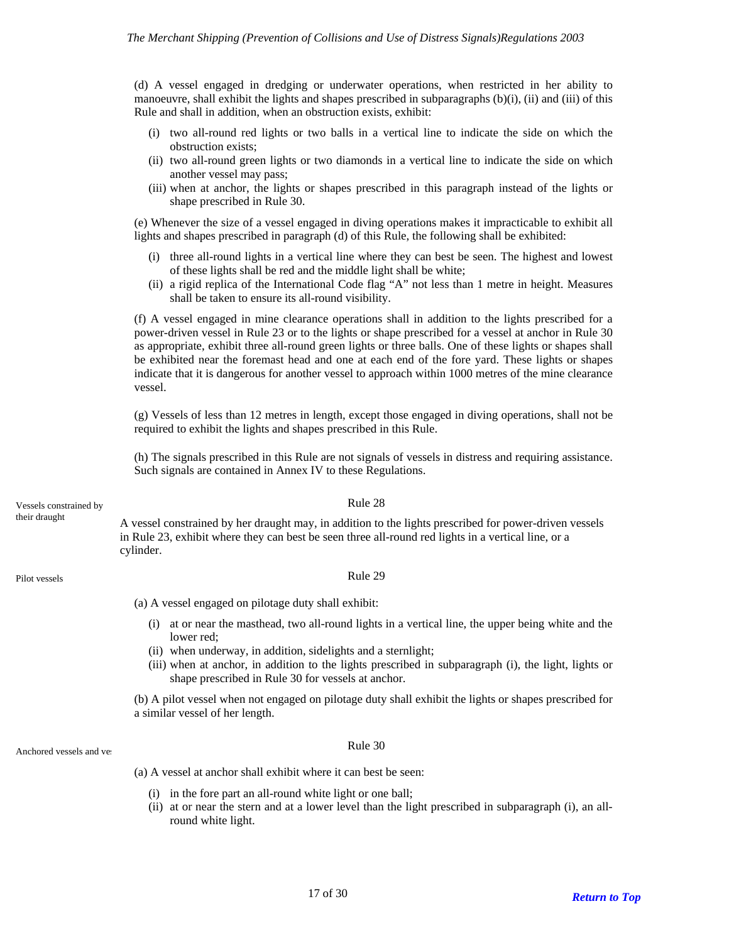(d) A vessel engaged in dredging or underwater operations, when restricted in her ability to manoeuvre, shall exhibit the lights and shapes prescribed in subparagraphs (b)(i), (ii) and (iii) of this Rule and shall in addition, when an obstruction exists, exhibit:

- (i) two all-round red lights or two balls in a vertical line to indicate the side on which the obstruction exists;
- (ii) two all-round green lights or two diamonds in a vertical line to indicate the side on which another vessel may pass;
- (iii) when at anchor, the lights or shapes prescribed in this paragraph instead of the lights or shape prescribed in Rule 30.

(e) Whenever the size of a vessel engaged in diving operations makes it impracticable to exhibit all lights and shapes prescribed in paragraph (d) of this Rule, the following shall be exhibited:

- (i) three all-round lights in a vertical line where they can best be seen. The highest and lowest of these lights shall be red and the middle light shall be white;
- (ii) a rigid replica of the International Code flag "A" not less than 1 metre in height. Measures shall be taken to ensure its all-round visibility.

(f) A vessel engaged in mine clearance operations shall in addition to the lights prescribed for a power-driven vessel in Rule 23 or to the lights or shape prescribed for a vessel at anchor in Rule 30 as appropriate, exhibit three all-round green lights or three balls. One of these lights or shapes shall be exhibited near the foremast head and one at each end of the fore yard. These lights or shapes indicate that it is dangerous for another vessel to approach within 1000 metres of the mine clearance vessel.

(g) Vessels of less than 12 metres in length, except those engaged in diving operations, shall not be required to exhibit the lights and shapes prescribed in this Rule.

(h) The signals prescribed in this Rule are not signals of vessels in distress and requiring assistance. Such signals are contained in Annex IV to these Regulations.

# Vessels constrained by Rule 28

their draught <br>A vessel constrained by her draught may, in addition to the lights prescribed for power-driven vessels in Rule 23, exhibit where they can best be seen three all-round red lights in a vertical line, or a cylinder.

# Pilot vessels Rule 29

- (a) A vessel engaged on pilotage duty shall exhibit:
	- (i) at or near the masthead, two all-round lights in a vertical line, the upper being white and the lower red;
	- (ii) when underway, in addition, sidelights and a sternlight;
	- (iii) when at anchor, in addition to the lights prescribed in subparagraph (i), the light, lights or shape prescribed in Rule 30 for vessels at anchor.

(b) A pilot vessel when not engaged on pilotage duty shall exhibit the lights or shapes prescribed for a similar vessel of her length.

Anchored vessels and vestels and vestels are not all the set of the set of the set of the set of the set of the  $\mathbb{R}$ ule 30

(a) A vessel at anchor shall exhibit where it can best be seen:

- (i) in the fore part an all-round white light or one ball;
- (ii) at or near the stern and at a lower level than the light prescribed in subparagraph (i), an allround white light.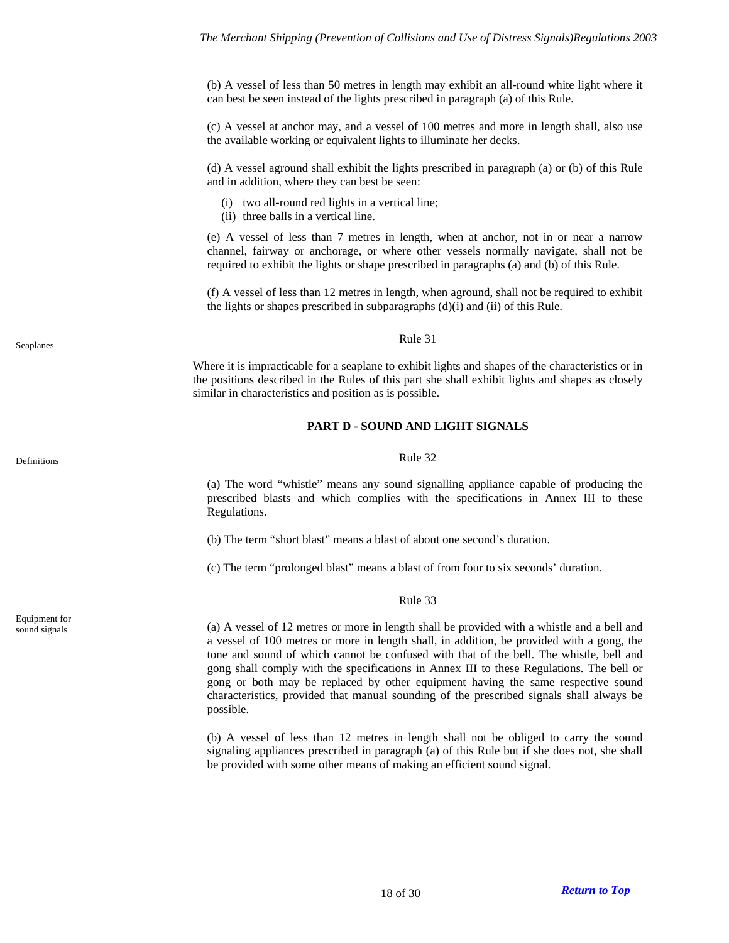(b) A vessel of less than 50 metres in length may exhibit an all-round white light where it can best be seen instead of the lights prescribed in paragraph (a) of this Rule.

(c) A vessel at anchor may, and a vessel of 100 metres and more in length shall, also use the available working or equivalent lights to illuminate her decks.

(d) A vessel aground shall exhibit the lights prescribed in paragraph (a) or (b) of this Rule and in addition, where they can best be seen:

(i) two all-round red lights in a vertical line;

(ii) three balls in a vertical line.

(e) A vessel of less than 7 metres in length, when at anchor, not in or near a narrow channel, fairway or anchorage, or where other vessels normally navigate, shall not be required to exhibit the lights or shape prescribed in paragraphs (a) and (b) of this Rule.

(f) A vessel of less than 12 metres in length, when aground, shall not be required to exhibit the lights or shapes prescribed in subparagraphs (d)(i) and (ii) of this Rule.

# Seaplanes Rule 31

Where it is impracticable for a seaplane to exhibit lights and shapes of the characteristics or in the positions described in the Rules of this part she shall exhibit lights and shapes as closely similar in characteristics and position as is possible.

### **PART D - SOUND AND LIGHT SIGNALS**

# <span id="page-17-0"></span>Definitions Rule 32

(a) The word "whistle" means any sound signalling appliance capable of producing the prescribed blasts and which complies with the specifications in Annex III to these Regulations.

(b) The term "short blast" means a blast of about one second's duration.

(c) The term "prolonged blast" means a blast of from four to six seconds' duration.

#### Rule 33

sound signals (a) A vessel of 12 metres or more in length shall be provided with a whistle and a bell and a vessel of 100 metres or more in length shall, in addition, be provided with a gong, the tone and sound of which cannot be confused with that of the bell. The whistle, bell and gong shall comply with the specifications in Annex III to these Regulations. The bell or gong or both may be replaced by other equipment having the same respective sound characteristics, provided that manual sounding of the prescribed signals shall always be possible.

> (b) A vessel of less than 12 metres in length shall not be obliged to carry the sound signaling appliances prescribed in paragraph (a) of this Rule but if she does not, she shall be provided with some other means of making an efficient sound signal.

Equipment for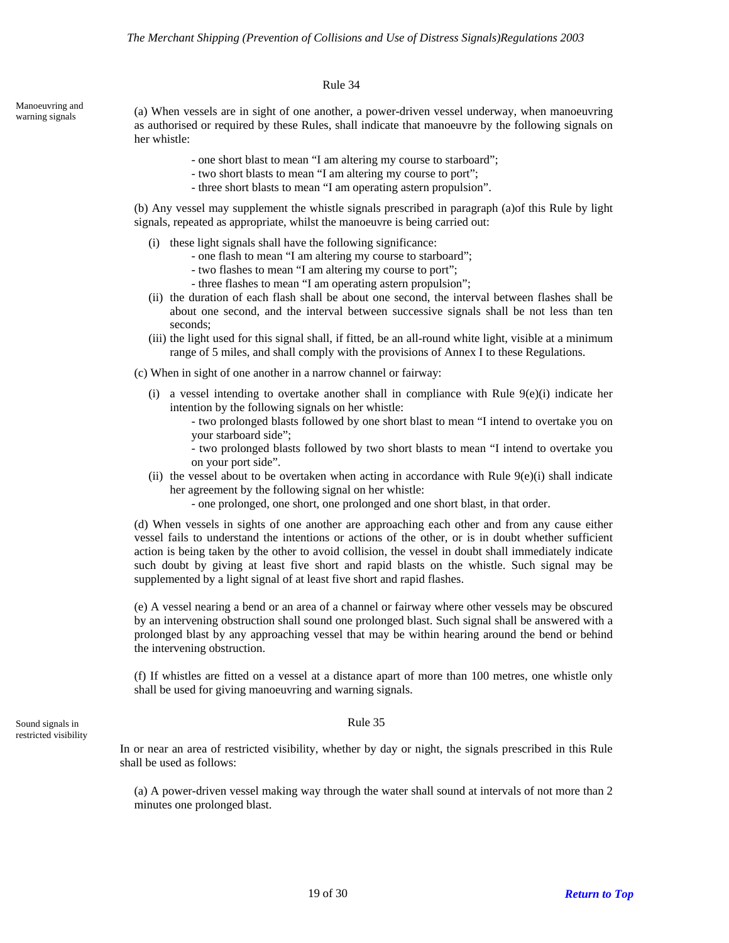#### Rule 34

Manoeuvring and

warning signals (a) When vessels are in sight of one another, a power-driven vessel underway, when manoeuvring as authorised or required by these Rules, shall indicate that manoeuvre by the following signals on her whistle:

- one short blast to mean "I am altering my course to starboard";
- two short blasts to mean "I am altering my course to port";
- three short blasts to mean "I am operating astern propulsion".

(b) Any vessel may supplement the whistle signals prescribed in paragraph (a)of this Rule by light signals, repeated as appropriate, whilst the manoeuvre is being carried out:

- (i) these light signals shall have the following significance:
	- one flash to mean "I am altering my course to starboard";
	- two flashes to mean "I am altering my course to port";
	- three flashes to mean "I am operating astern propulsion";
- (ii) the duration of each flash shall be about one second, the interval between flashes shall be about one second, and the interval between successive signals shall be not less than ten seconds;
- (iii) the light used for this signal shall, if fitted, be an all-round white light, visible at a minimum range of 5 miles, and shall comply with the provisions of Annex I to these Regulations.

(c) When in sight of one another in a narrow channel or fairway:

- (i) a vessel intending to overtake another shall in compliance with Rule  $9(e)(i)$  indicate her intention by the following signals on her whistle:
	- two prolonged blasts followed by one short blast to mean "I intend to overtake you on your starboard side";
	- two prolonged blasts followed by two short blasts to mean "I intend to overtake you on your port side".
- (ii) the vessel about to be overtaken when acting in accordance with Rule  $9(e)(i)$  shall indicate her agreement by the following signal on her whistle:
	- one prolonged, one short, one prolonged and one short blast, in that order.

(d) When vessels in sights of one another are approaching each other and from any cause either vessel fails to understand the intentions or actions of the other, or is in doubt whether sufficient action is being taken by the other to avoid collision, the vessel in doubt shall immediately indicate such doubt by giving at least five short and rapid blasts on the whistle. Such signal may be supplemented by a light signal of at least five short and rapid flashes.

(e) A vessel nearing a bend or an area of a channel or fairway where other vessels may be obscured by an intervening obstruction shall sound one prolonged blast. Such signal shall be answered with a prolonged blast by any approaching vessel that may be within hearing around the bend or behind the intervening obstruction.

(f) If whistles are fitted on a vessel at a distance apart of more than 100 metres, one whistle only shall be used for giving manoeuvring and warning signals.

In or near an area of restricted visibility, whether by day or night, the signals prescribed in this Rule shall be used as follows:

(a) A power-driven vessel making way through the water shall sound at intervals of not more than 2 minutes one prolonged blast.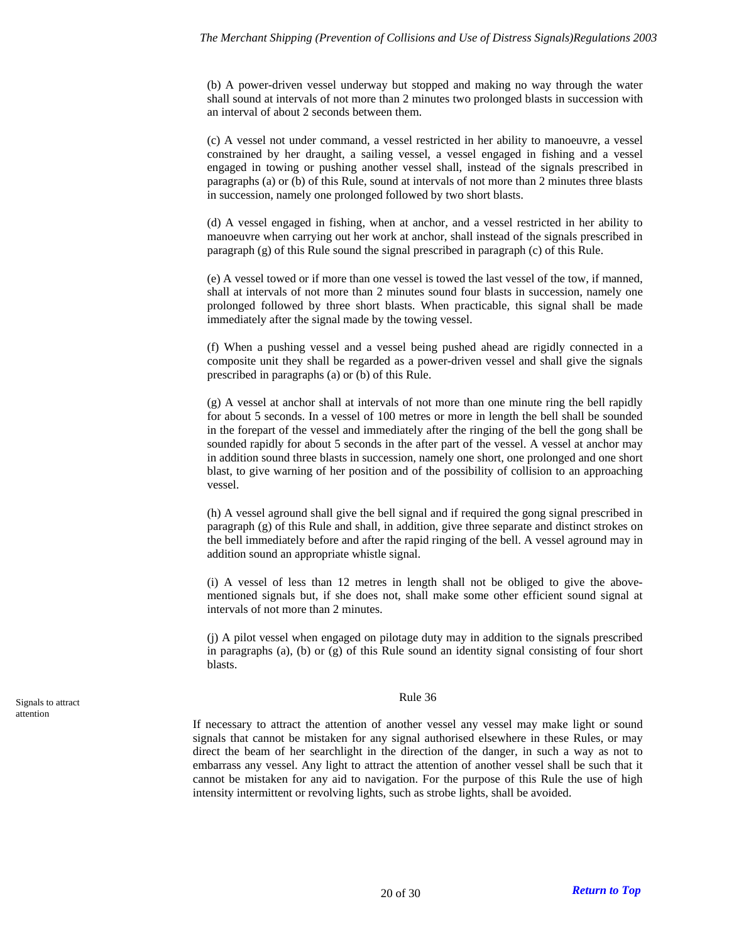(b) A power-driven vessel underway but stopped and making no way through the water shall sound at intervals of not more than 2 minutes two prolonged blasts in succession with an interval of about 2 seconds between them.

(c) A vessel not under command, a vessel restricted in her ability to manoeuvre, a vessel constrained by her draught, a sailing vessel, a vessel engaged in fishing and a vessel engaged in towing or pushing another vessel shall, instead of the signals prescribed in paragraphs (a) or (b) of this Rule, sound at intervals of not more than 2 minutes three blasts in succession, namely one prolonged followed by two short blasts.

(d) A vessel engaged in fishing, when at anchor, and a vessel restricted in her ability to manoeuvre when carrying out her work at anchor, shall instead of the signals prescribed in paragraph (g) of this Rule sound the signal prescribed in paragraph (c) of this Rule.

(e) A vessel towed or if more than one vessel is towed the last vessel of the tow, if manned, shall at intervals of not more than 2 minutes sound four blasts in succession, namely one prolonged followed by three short blasts. When practicable, this signal shall be made immediately after the signal made by the towing vessel.

(f) When a pushing vessel and a vessel being pushed ahead are rigidly connected in a composite unit they shall be regarded as a power-driven vessel and shall give the signals prescribed in paragraphs (a) or (b) of this Rule.

(g) A vessel at anchor shall at intervals of not more than one minute ring the bell rapidly for about 5 seconds. In a vessel of 100 metres or more in length the bell shall be sounded in the forepart of the vessel and immediately after the ringing of the bell the gong shall be sounded rapidly for about 5 seconds in the after part of the vessel. A vessel at anchor may in addition sound three blasts in succession, namely one short, one prolonged and one short blast, to give warning of her position and of the possibility of collision to an approaching vessel.

(h) A vessel aground shall give the bell signal and if required the gong signal prescribed in paragraph (g) of this Rule and shall, in addition, give three separate and distinct strokes on the bell immediately before and after the rapid ringing of the bell. A vessel aground may in addition sound an appropriate whistle signal.

(i) A vessel of less than 12 metres in length shall not be obliged to give the abovementioned signals but, if she does not, shall make some other efficient sound signal at intervals of not more than 2 minutes.

(j) A pilot vessel when engaged on pilotage duty may in addition to the signals prescribed in paragraphs (a), (b) or (g) of this Rule sound an identity signal consisting of four short blasts.

If necessary to attract the attention of another vessel any vessel may make light or sound signals that cannot be mistaken for any signal authorised elsewhere in these Rules, or may direct the beam of her searchlight in the direction of the danger, in such a way as not to embarrass any vessel. Any light to attract the attention of another vessel shall be such that it cannot be mistaken for any aid to navigation. For the purpose of this Rule the use of high intensity intermittent or revolving lights, such as strobe lights, shall be avoided.

Signals to attract **Rule 36** attention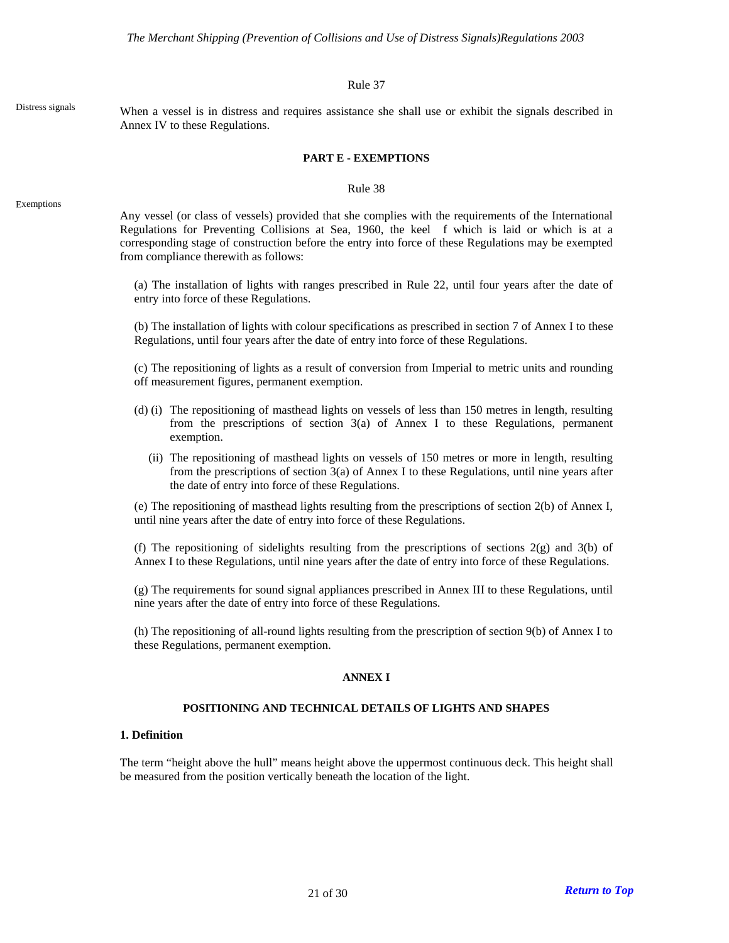### Rule 37

<span id="page-20-0"></span>

Distress signals When a vessel is in distress and requires assistance she shall use or exhibit the signals described in Annex IV to these Regulations.

#### **PART E - EXEMPTIONS**

#### Rule 38

Exemptions

Any vessel (or class of vessels) provided that she complies with the requirements of the International Regulations for Preventing Collisions at Sea, 1960, the keel f which is laid or which is at a corresponding stage of construction before the entry into force of these Regulations may be exempted from compliance therewith as follows:

(a) The installation of lights with ranges prescribed in Rule 22, until four years after the date of entry into force of these Regulations.

(b) The installation of lights with colour specifications as prescribed in section 7 of Annex I to these Regulations, until four years after the date of entry into force of these Regulations.

(c) The repositioning of lights as a result of conversion from Imperial to metric units and rounding off measurement figures, permanent exemption.

- (d) (i) The repositioning of masthead lights on vessels of less than 150 metres in length, resulting from the prescriptions of section 3(a) of Annex I to these Regulations, permanent exemption.
	- (ii) The repositioning of masthead lights on vessels of 150 metres or more in length, resulting from the prescriptions of section  $3(a)$  of Annex I to these Regulations, until nine years after the date of entry into force of these Regulations.

(e) The repositioning of masthead lights resulting from the prescriptions of section 2(b) of Annex I, until nine years after the date of entry into force of these Regulations.

(f) The repositioning of sidelights resulting from the prescriptions of sections 2(g) and 3(b) of Annex I to these Regulations, until nine years after the date of entry into force of these Regulations.

(g) The requirements for sound signal appliances prescribed in Annex III to these Regulations, until nine years after the date of entry into force of these Regulations.

(h) The repositioning of all-round lights resulting from the prescription of section 9(b) of Annex I to these Regulations, permanent exemption.

#### **ANNEX I**

#### **POSITIONING AND TECHNICAL DETAILS OF LIGHTS AND SHAPES**

#### <span id="page-20-1"></span>**1. Definition**

The term "height above the hull" means height above the uppermost continuous deck. This height shall be measured from the position vertically beneath the location of the light.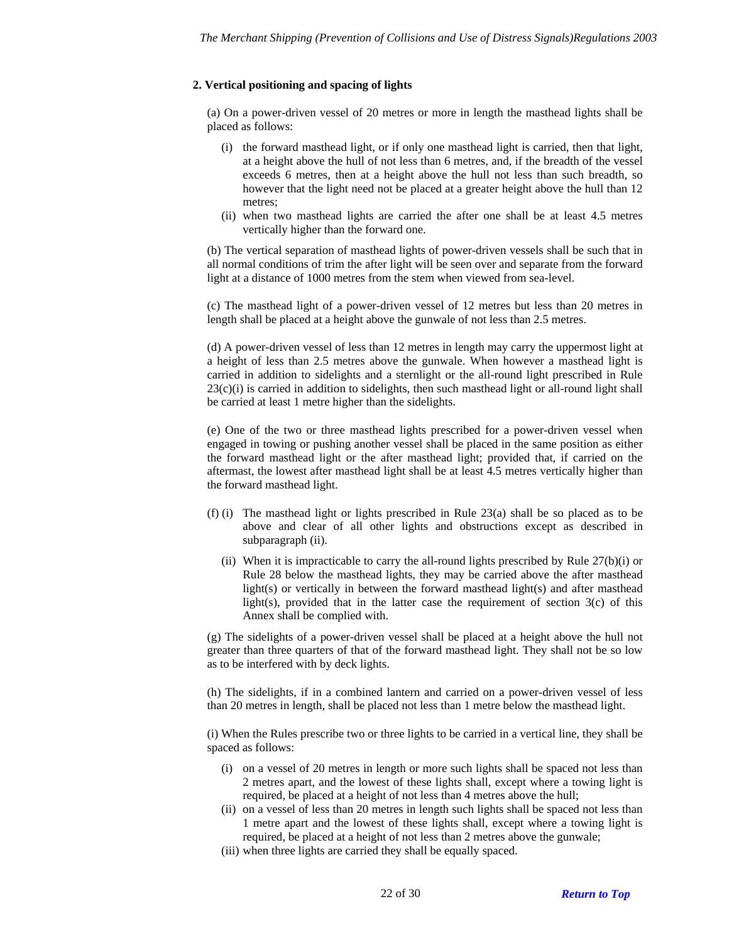## **2. Vertical positioning and spacing of lights**

(a) On a power-driven vessel of 20 metres or more in length the masthead lights shall be placed as follows:

- (i) the forward masthead light, or if only one masthead light is carried, then that light, at a height above the hull of not less than 6 metres, and, if the breadth of the vessel exceeds 6 metres, then at a height above the hull not less than such breadth, so however that the light need not be placed at a greater height above the hull than 12 metres;
- (ii) when two masthead lights are carried the after one shall be at least 4.5 metres vertically higher than the forward one.

(b) The vertical separation of masthead lights of power-driven vessels shall be such that in all normal conditions of trim the after light will be seen over and separate from the forward light at a distance of 1000 metres from the stem when viewed from sea-level.

(c) The masthead light of a power-driven vessel of 12 metres but less than 20 metres in length shall be placed at a height above the gunwale of not less than 2.5 metres.

(d) A power-driven vessel of less than 12 metres in length may carry the uppermost light at a height of less than 2.5 metres above the gunwale. When however a masthead light is carried in addition to sidelights and a sternlight or the all-round light prescribed in Rule  $23(c)(i)$  is carried in addition to sidelights, then such masthead light or all-round light shall be carried at least 1 metre higher than the sidelights.

(e) One of the two or three masthead lights prescribed for a power-driven vessel when engaged in towing or pushing another vessel shall be placed in the same position as either the forward masthead light or the after masthead light; provided that, if carried on the aftermast, the lowest after masthead light shall be at least 4.5 metres vertically higher than the forward masthead light.

- (f) (i) The masthead light or lights prescribed in Rule  $23(a)$  shall be so placed as to be above and clear of all other lights and obstructions except as described in subparagraph (ii).
	- (ii) When it is impracticable to carry the all-round lights prescribed by Rule 27(b)(i) or Rule 28 below the masthead lights, they may be carried above the after masthead light(s) or vertically in between the forward masthead light(s) and after masthead light(s), provided that in the latter case the requirement of section  $3(c)$  of this Annex shall be complied with.

(g) The sidelights of a power-driven vessel shall be placed at a height above the hull not greater than three quarters of that of the forward masthead light. They shall not be so low as to be interfered with by deck lights.

(h) The sidelights, if in a combined lantern and carried on a power-driven vessel of less than 20 metres in length, shall be placed not less than 1 metre below the masthead light.

(i) When the Rules prescribe two or three lights to be carried in a vertical line, they shall be spaced as follows:

- (i) on a vessel of 20 metres in length or more such lights shall be spaced not less than 2 metres apart, and the lowest of these lights shall, except where a towing light is required, be placed at a height of not less than 4 metres above the hull;
- (ii) on a vessel of less than 20 metres in length such lights shall be spaced not less than 1 metre apart and the lowest of these lights shall, except where a towing light is required, be placed at a height of not less than 2 metres above the gunwale;
- (iii) when three lights are carried they shall be equally spaced.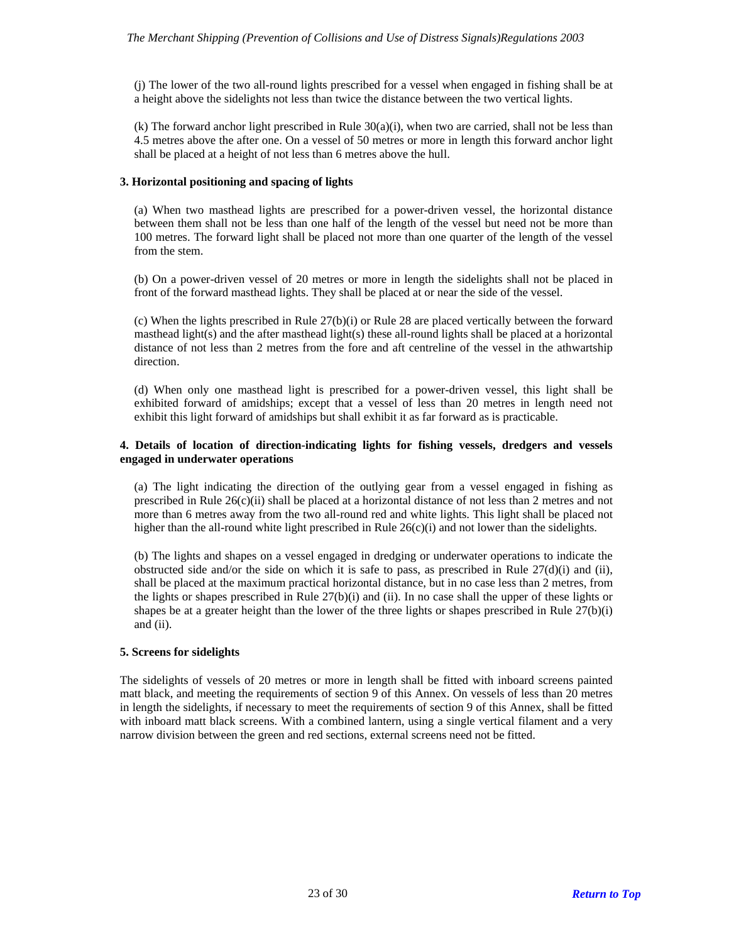(j) The lower of the two all-round lights prescribed for a vessel when engaged in fishing shall be at a height above the sidelights not less than twice the distance between the two vertical lights.

(k) The forward anchor light prescribed in Rule  $30(a)(i)$ , when two are carried, shall not be less than 4.5 metres above the after one. On a vessel of 50 metres or more in length this forward anchor light shall be placed at a height of not less than 6 metres above the hull.

#### **3. Horizontal positioning and spacing of lights**

(a) When two masthead lights are prescribed for a power-driven vessel, the horizontal distance between them shall not be less than one half of the length of the vessel but need not be more than 100 metres. The forward light shall be placed not more than one quarter of the length of the vessel from the stem.

(b) On a power-driven vessel of 20 metres or more in length the sidelights shall not be placed in front of the forward masthead lights. They shall be placed at or near the side of the vessel.

(c) When the lights prescribed in Rule 27(b)(i) or Rule 28 are placed vertically between the forward masthead light(s) and the after masthead light(s) these all-round lights shall be placed at a horizontal distance of not less than 2 metres from the fore and aft centreline of the vessel in the athwartship direction.

(d) When only one masthead light is prescribed for a power-driven vessel, this light shall be exhibited forward of amidships; except that a vessel of less than 20 metres in length need not exhibit this light forward of amidships but shall exhibit it as far forward as is practicable.

#### **4. Details of location of direction-indicating lights for fishing vessels, dredgers and vessels engaged in underwater operations**

(a) The light indicating the direction of the outlying gear from a vessel engaged in fishing as prescribed in Rule 26(c)(ii) shall be placed at a horizontal distance of not less than 2 metres and not more than 6 metres away from the two all-round red and white lights. This light shall be placed not higher than the all-round white light prescribed in Rule  $26(c)(i)$  and not lower than the sidelights.

(b) The lights and shapes on a vessel engaged in dredging or underwater operations to indicate the obstructed side and/or the side on which it is safe to pass, as prescribed in Rule  $27(d)(i)$  and (ii), shall be placed at the maximum practical horizontal distance, but in no case less than 2 metres, from the lights or shapes prescribed in Rule  $27(b)(i)$  and (ii). In no case shall the upper of these lights or shapes be at a greater height than the lower of the three lights or shapes prescribed in Rule 27(b)(i) and (ii).

## **5. Screens for sidelights**

The sidelights of vessels of 20 metres or more in length shall be fitted with inboard screens painted matt black, and meeting the requirements of section 9 of this Annex. On vessels of less than 20 metres in length the sidelights, if necessary to meet the requirements of section 9 of this Annex, shall be fitted with inboard matt black screens. With a combined lantern, using a single vertical filament and a very narrow division between the green and red sections, external screens need not be fitted.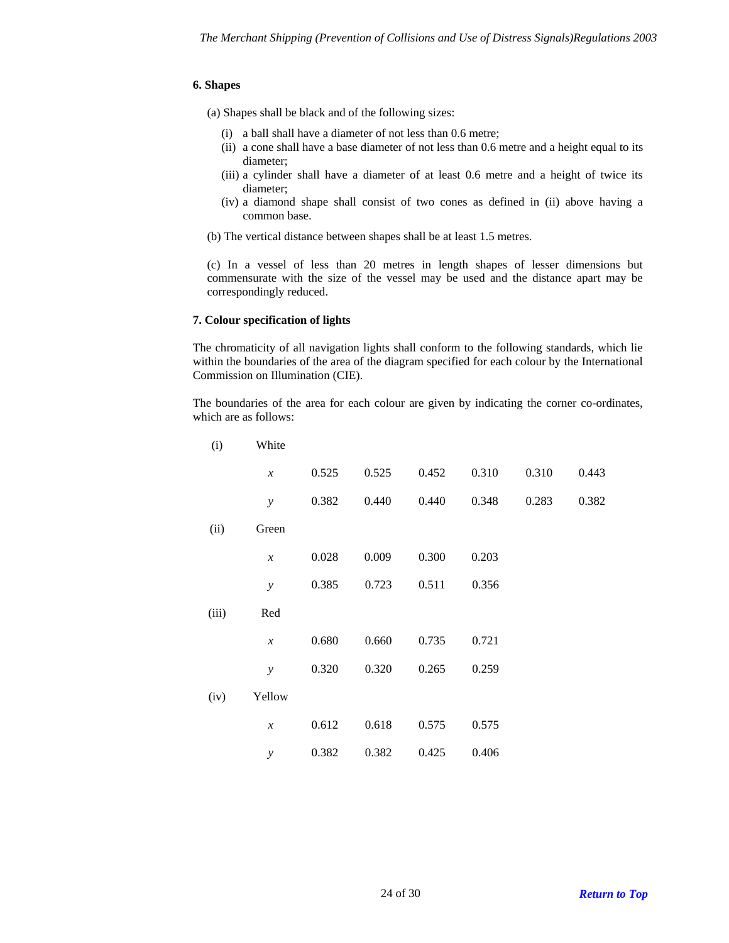## **6. Shapes**

(a) Shapes shall be black and of the following sizes:

- (i) a ball shall have a diameter of not less than 0.6 metre;
- (ii) a cone shall have a base diameter of not less than 0.6 metre and a height equal to its diameter;
- (iii) a cylinder shall have a diameter of at least 0.6 metre and a height of twice its diameter;
- (iv) a diamond shape shall consist of two cones as defined in (ii) above having a common base.
- (b) The vertical distance between shapes shall be at least 1.5 metres.

(c) In a vessel of less than 20 metres in length shapes of lesser dimensions but commensurate with the size of the vessel may be used and the distance apart may be correspondingly reduced.

### **7. Colour specification of lights**

The chromaticity of all navigation lights shall conform to the following standards, which lie within the boundaries of the area of the diagram specified for each colour by the International Commission on Illumination (CIE).

The boundaries of the area for each colour are given by indicating the corner co-ordinates, which are as follows:

| (i)   | White                      |       |       |       |       |       |       |
|-------|----------------------------|-------|-------|-------|-------|-------|-------|
|       | $\boldsymbol{\mathcal{X}}$ | 0.525 | 0.525 | 0.452 | 0.310 | 0.310 | 0.443 |
|       | $\mathbf{y}$               | 0.382 | 0.440 | 0.440 | 0.348 | 0.283 | 0.382 |
| (ii)  | Green                      |       |       |       |       |       |       |
|       | $\boldsymbol{\mathcal{X}}$ | 0.028 | 0.009 | 0.300 | 0.203 |       |       |
|       | $\mathcal{Y}$              | 0.385 | 0.723 | 0.511 | 0.356 |       |       |
| (iii) | Red                        |       |       |       |       |       |       |
|       | $\boldsymbol{\mathcal{X}}$ | 0.680 | 0.660 | 0.735 | 0.721 |       |       |
|       | $\mathcal{Y}$              | 0.320 | 0.320 | 0.265 | 0.259 |       |       |
| (iv)  | Yellow                     |       |       |       |       |       |       |
|       | $\boldsymbol{\mathcal{X}}$ | 0.612 | 0.618 | 0.575 | 0.575 |       |       |
|       | $\mathcal{Y}$              | 0.382 | 0.382 | 0.425 | 0.406 |       |       |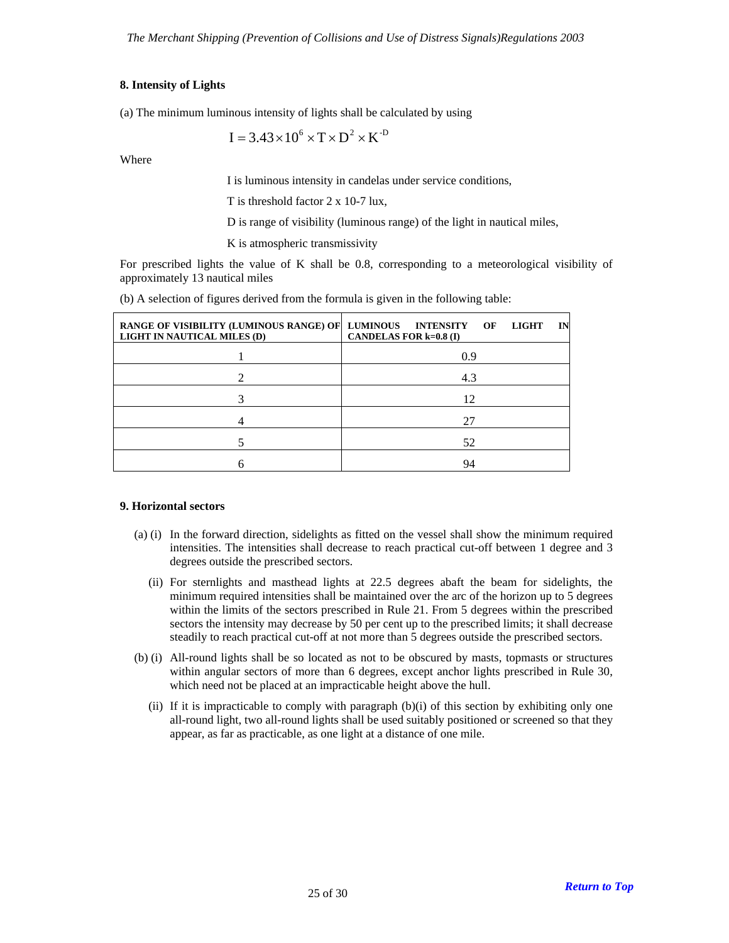## **8. Intensity of Lights**

(a) The minimum luminous intensity of lights shall be calculated by using

 $I = 3.43 \times 10^6 \times T \times D^2 \times K^{-D}$ 

Where

I is luminous intensity in candelas under service conditions,

T is threshold factor 2 x 10-7 lux,

D is range of visibility (luminous range) of the light in nautical miles,

K is atmospheric transmissivity

For prescribed lights the value of K shall be 0.8, corresponding to a meteorological visibility of approximately 13 nautical miles

(b) A selection of figures derived from the formula is given in the following table:

| RANGE OF VISIBILITY (LUMINOUS RANGE) OF LUMINOUS INTENSITY<br>LIGHT IN NAUTICAL MILES (D) | <b>LIGHT</b><br>OF<br>IN<br><b>CANDELAS FOR k=0.8 (I)</b> |
|-------------------------------------------------------------------------------------------|-----------------------------------------------------------|
|                                                                                           | 0.9                                                       |
|                                                                                           | 4.3                                                       |
|                                                                                           | 12                                                        |
|                                                                                           | 27                                                        |
|                                                                                           | 52                                                        |
|                                                                                           | 94                                                        |

#### **9. Horizontal sectors**

- (a) (i) In the forward direction, sidelights as fitted on the vessel shall show the minimum required intensities. The intensities shall decrease to reach practical cut-off between 1 degree and 3 degrees outside the prescribed sectors.
	- (ii) For sternlights and masthead lights at 22.5 degrees abaft the beam for sidelights, the minimum required intensities shall be maintained over the arc of the horizon up to 5 degrees within the limits of the sectors prescribed in Rule 21. From 5 degrees within the prescribed sectors the intensity may decrease by 50 per cent up to the prescribed limits; it shall decrease steadily to reach practical cut-off at not more than 5 degrees outside the prescribed sectors.
- (b) (i) All-round lights shall be so located as not to be obscured by masts, topmasts or structures within angular sectors of more than 6 degrees, except anchor lights prescribed in Rule 30, which need not be placed at an impracticable height above the hull.
	- (ii) If it is impracticable to comply with paragraph (b)(i) of this section by exhibiting only one all-round light, two all-round lights shall be used suitably positioned or screened so that they appear, as far as practicable, as one light at a distance of one mile.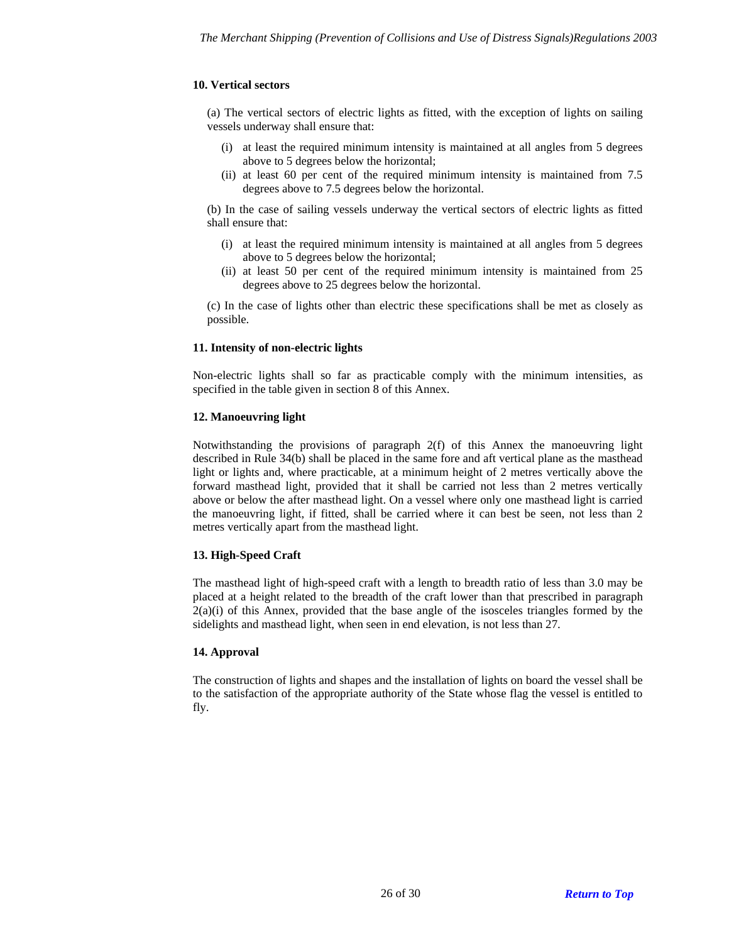## **10. Vertical sectors**

(a) The vertical sectors of electric lights as fitted, with the exception of lights on sailing vessels underway shall ensure that:

- (i) at least the required minimum intensity is maintained at all angles from 5 degrees above to 5 degrees below the horizontal;
- (ii) at least 60 per cent of the required minimum intensity is maintained from 7.5 degrees above to 7.5 degrees below the horizontal.

(b) In the case of sailing vessels underway the vertical sectors of electric lights as fitted shall ensure that:

- (i) at least the required minimum intensity is maintained at all angles from 5 degrees above to 5 degrees below the horizontal;
- (ii) at least 50 per cent of the required minimum intensity is maintained from 25 degrees above to 25 degrees below the horizontal.

(c) In the case of lights other than electric these specifications shall be met as closely as possible.

### **11. Intensity of non-electric lights**

Non-electric lights shall so far as practicable comply with the minimum intensities, as specified in the table given in section 8 of this Annex.

### **12. Manoeuvring light**

Notwithstanding the provisions of paragraph 2(f) of this Annex the manoeuvring light described in Rule 34(b) shall be placed in the same fore and aft vertical plane as the masthead light or lights and, where practicable, at a minimum height of 2 metres vertically above the forward masthead light, provided that it shall be carried not less than 2 metres vertically above or below the after masthead light. On a vessel where only one masthead light is carried the manoeuvring light, if fitted, shall be carried where it can best be seen, not less than 2 metres vertically apart from the masthead light.

## **13. High-Speed Craft**

The masthead light of high-speed craft with a length to breadth ratio of less than 3.0 may be placed at a height related to the breadth of the craft lower than that prescribed in paragraph  $2(a)(i)$  of this Annex, provided that the base angle of the isosceles triangles formed by the sidelights and masthead light, when seen in end elevation, is not less than 27.

## **14. Approval**

The construction of lights and shapes and the installation of lights on board the vessel shall be to the satisfaction of the appropriate authority of the State whose flag the vessel is entitled to fly.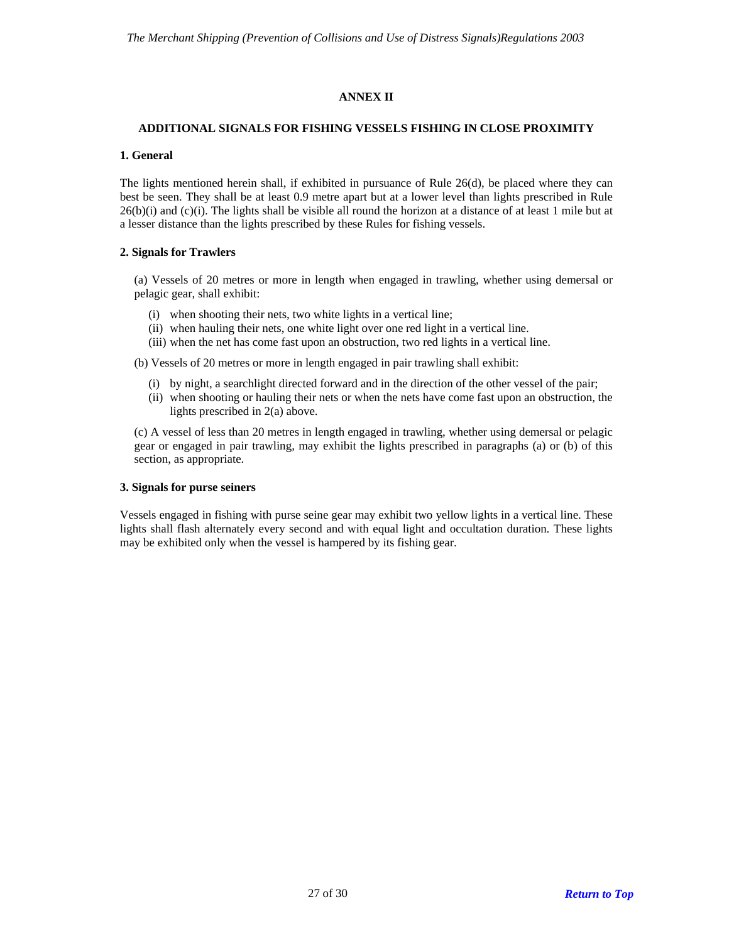## **ANNEX II**

### **ADDITIONAL SIGNALS FOR FISHING VESSELS FISHING IN CLOSE PROXIMITY**

#### <span id="page-26-0"></span>**1. General**

The lights mentioned herein shall, if exhibited in pursuance of Rule 26(d), be placed where they can best be seen. They shall be at least 0.9 metre apart but at a lower level than lights prescribed in Rule  $26(b)(i)$  and (c)(i). The lights shall be visible all round the horizon at a distance of at least 1 mile but at a lesser distance than the lights prescribed by these Rules for fishing vessels.

### **2. Signals for Trawlers**

(a) Vessels of 20 metres or more in length when engaged in trawling, whether using demersal or pelagic gear, shall exhibit:

- (i) when shooting their nets, two white lights in a vertical line;
- (ii) when hauling their nets, one white light over one red light in a vertical line.
- (iii) when the net has come fast upon an obstruction, two red lights in a vertical line.

(b) Vessels of 20 metres or more in length engaged in pair trawling shall exhibit:

- (i) by night, a searchlight directed forward and in the direction of the other vessel of the pair;
- (ii) when shooting or hauling their nets or when the nets have come fast upon an obstruction, the lights prescribed in 2(a) above.

(c) A vessel of less than 20 metres in length engaged in trawling, whether using demersal or pelagic gear or engaged in pair trawling, may exhibit the lights prescribed in paragraphs (a) or (b) of this section, as appropriate.

#### **3. Signals for purse seiners**

Vessels engaged in fishing with purse seine gear may exhibit two yellow lights in a vertical line. These lights shall flash alternately every second and with equal light and occultation duration. These lights may be exhibited only when the vessel is hampered by its fishing gear.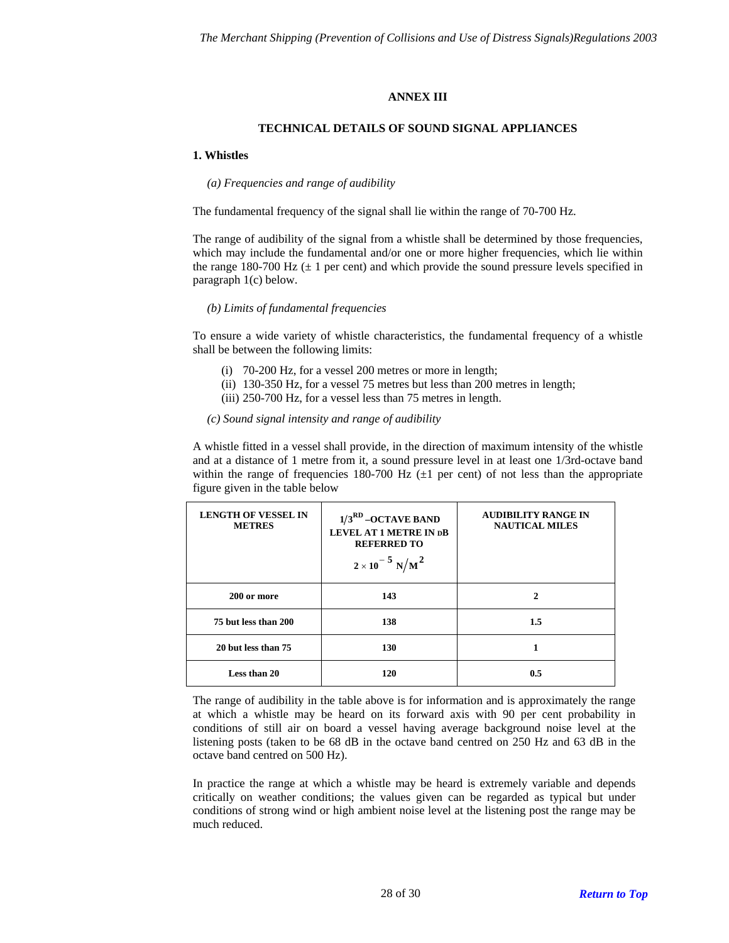### **ANNEX III**

#### **TECHNICAL DETAILS OF SOUND SIGNAL APPLIANCES**

### <span id="page-27-0"></span>**1. Whistles**

### *(a) Frequencies and range of audibility*

The fundamental frequency of the signal shall lie within the range of 70-700 Hz.

The range of audibility of the signal from a whistle shall be determined by those frequencies, which may include the fundamental and/or one or more higher frequencies, which lie within the range 180-700 Hz  $(\pm 1$  per cent) and which provide the sound pressure levels specified in paragraph 1(c) below.

### *(b) Limits of fundamental frequencies*

To ensure a wide variety of whistle characteristics, the fundamental frequency of a whistle shall be between the following limits:

- (i) 70-200 Hz, for a vessel 200 metres or more in length;
- (ii) 130-350 Hz, for a vessel 75 metres but less than 200 metres in length;
- (iii) 250-700 Hz, for a vessel less than 75 metres in length.
- *(c) Sound signal intensity and range of audibility*

A whistle fitted in a vessel shall provide, in the direction of maximum intensity of the whistle and at a distance of 1 metre from it, a sound pressure level in at least one 1/3rd-octave band within the range of frequencies 180-700 Hz  $(\pm 1$  per cent) of not less than the appropriate figure given in the table below

| <b>LENGTH OF VESSEL IN</b><br><b>METRES</b> | $1/3^{\rm RD}$ -OCTAVE BAND<br><b>LEVEL AT 1 METRE IN DB</b><br><b>REFERRED TO</b><br>$2 \times 10^{-5}$ N/M <sup>2</sup> | <b>AUDIBILITY RANGE IN</b><br><b>NAUTICAL MILES</b> |
|---------------------------------------------|---------------------------------------------------------------------------------------------------------------------------|-----------------------------------------------------|
| 200 or more                                 | 143                                                                                                                       | 2                                                   |
| 75 but less than 200                        | 138                                                                                                                       | 1.5                                                 |
| 20 but less than 75                         | 130                                                                                                                       |                                                     |
| Less than 20                                | 120                                                                                                                       | 0.5                                                 |

The range of audibility in the table above is for information and is approximately the range at which a whistle may be heard on its forward axis with 90 per cent probability in conditions of still air on board a vessel having average background noise level at the listening posts (taken to be 68 dB in the octave band centred on 250 Hz and 63 dB in the octave band centred on 500 Hz).

In practice the range at which a whistle may be heard is extremely variable and depends critically on weather conditions; the values given can be regarded as typical but under conditions of strong wind or high ambient noise level at the listening post the range may be much reduced.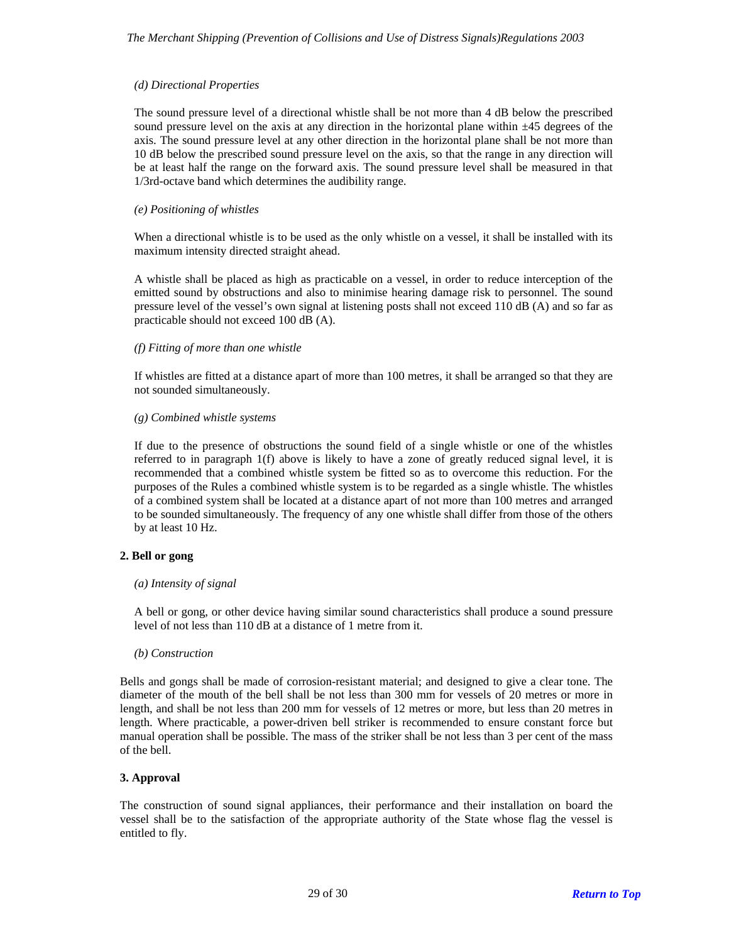#### *(d) Directional Properties*

The sound pressure level of a directional whistle shall be not more than 4 dB below the prescribed sound pressure level on the axis at any direction in the horizontal plane within  $\pm 45$  degrees of the axis. The sound pressure level at any other direction in the horizontal plane shall be not more than 10 dB below the prescribed sound pressure level on the axis, so that the range in any direction will be at least half the range on the forward axis. The sound pressure level shall be measured in that 1/3rd-octave band which determines the audibility range.

### *(e) Positioning of whistles*

When a directional whistle is to be used as the only whistle on a vessel, it shall be installed with its maximum intensity directed straight ahead.

A whistle shall be placed as high as practicable on a vessel, in order to reduce interception of the emitted sound by obstructions and also to minimise hearing damage risk to personnel. The sound pressure level of the vessel's own signal at listening posts shall not exceed 110 dB (A) and so far as practicable should not exceed 100 dB (A).

### *(f) Fitting of more than one whistle*

If whistles are fitted at a distance apart of more than 100 metres, it shall be arranged so that they are not sounded simultaneously.

#### *(g) Combined whistle systems*

If due to the presence of obstructions the sound field of a single whistle or one of the whistles referred to in paragraph 1(f) above is likely to have a zone of greatly reduced signal level, it is recommended that a combined whistle system be fitted so as to overcome this reduction. For the purposes of the Rules a combined whistle system is to be regarded as a single whistle. The whistles of a combined system shall be located at a distance apart of not more than 100 metres and arranged to be sounded simultaneously. The frequency of any one whistle shall differ from those of the others by at least 10 Hz.

## **2. Bell or gong**

#### *(a) Intensity of signal*

A bell or gong, or other device having similar sound characteristics shall produce a sound pressure level of not less than 110 dB at a distance of 1 metre from it.

#### *(b) Construction*

Bells and gongs shall be made of corrosion-resistant material; and designed to give a clear tone. The diameter of the mouth of the bell shall be not less than 300 mm for vessels of 20 metres or more in length, and shall be not less than 200 mm for vessels of 12 metres or more, but less than 20 metres in length. Where practicable, a power-driven bell striker is recommended to ensure constant force but manual operation shall be possible. The mass of the striker shall be not less than 3 per cent of the mass of the bell.

## **3. Approval**

The construction of sound signal appliances, their performance and their installation on board the vessel shall be to the satisfaction of the appropriate authority of the State whose flag the vessel is entitled to fly.